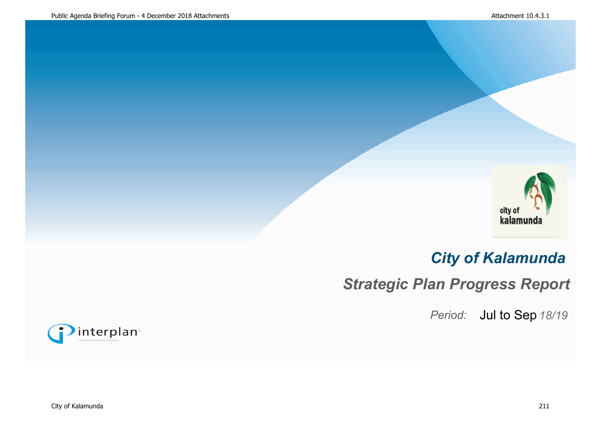

# *City of Kalamunda*

*Strategic Plan Progress Report*

Period: Jul to Sep 18/19

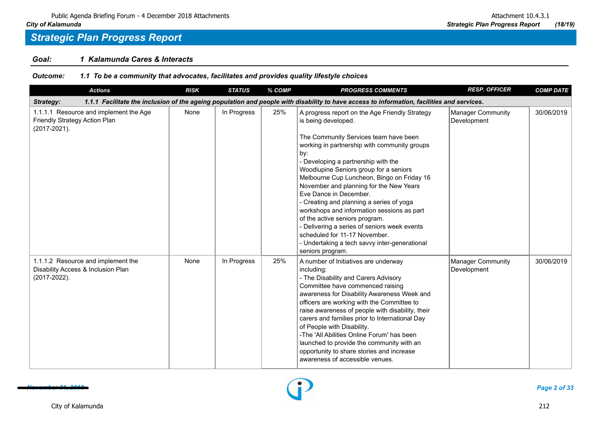### *Goal: 1 Kalamunda Cares & Interacts*

| Outcome: | 1.1 To be a community that advocates, facilitates and provides quality lifestyle choices |  |  |  |
|----------|------------------------------------------------------------------------------------------|--|--|--|
|          |                                                                                          |  |  |  |

| <b>Actions</b>                                                                                | <b>RISK</b> | <b>STATUS</b> | % COMP | <b>PROGRESS COMMENTS</b>                                                                                                                                                                                                                                                                                                                                                                                                                                                                                                                                                                                                                                  | <b>RESP. OFFICER</b>             | <b>COMP DATE</b> |
|-----------------------------------------------------------------------------------------------|-------------|---------------|--------|-----------------------------------------------------------------------------------------------------------------------------------------------------------------------------------------------------------------------------------------------------------------------------------------------------------------------------------------------------------------------------------------------------------------------------------------------------------------------------------------------------------------------------------------------------------------------------------------------------------------------------------------------------------|----------------------------------|------------------|
| Strategy:                                                                                     |             |               |        | 1.1.1 Facilitate the inclusion of the ageing population and people with disability to have access to information, facilities and services.                                                                                                                                                                                                                                                                                                                                                                                                                                                                                                                |                                  |                  |
| 1.1.1.1 Resource and implement the Age<br>Friendly Strategy Action Plan<br>$(2017 - 2021)$ .  | None        | In Progress   | 25%    | A progress report on the Age Friendly Strategy<br>is being developed.<br>The Community Services team have been<br>working in partnership with community groups<br>by:<br>Developing a partnership with the<br>Woodlupine Seniors group for a seniors<br>Melbourne Cup Luncheon, Bingo on Friday 16<br>November and planning for the New Years<br>Eve Dance in December.<br>- Creating and planning a series of yoga<br>workshops and information sessions as part<br>of the active seniors program.<br>- Delivering a series of seniors week events<br>scheduled for 11-17 November.<br>- Undertaking a tech savvy inter-generational<br>seniors program. | Manager Community<br>Development | 30/06/2019       |
| 1.1.1.2 Resource and implement the<br>Disability Access & Inclusion Plan<br>$(2017 - 2022)$ . | None        | In Progress   | 25%    | A number of Initiatives are underway<br>including:<br>- The Disability and Carers Advisory<br>Committee have commenced raising<br>awareness for Disability Awareness Week and<br>officers are working with the Committee to<br>raise awareness of people with disability, their<br>carers and families prior to International Day<br>of People with Disability.<br>-The 'All Abilities Online Forum' has been<br>launched to provide the community with an<br>opportunity to share stories and increase<br>awareness of accessible venues.                                                                                                                | Manager Community<br>Development | 30/06/2019       |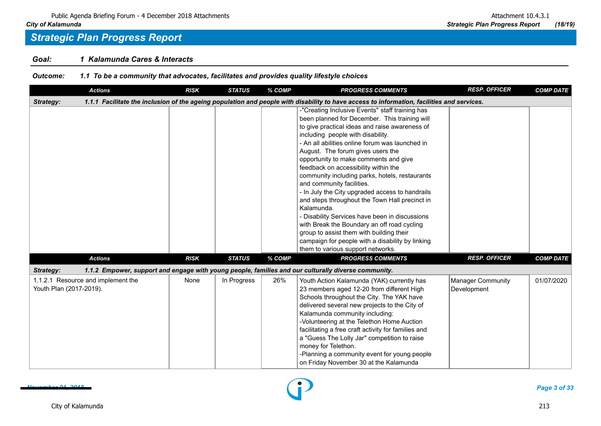### *Goal: 1 Kalamunda Cares & Interacts*

| <b>Outcome:</b> | 1.1 To be a community that advocates, facilitates and provides quality lifestyle choices |  |  |  |  |
|-----------------|------------------------------------------------------------------------------------------|--|--|--|--|
|                 |                                                                                          |  |  |  |  |

| <b>Actions</b>                                                | <b>RISK</b> | <b>STATUS</b> | % COMP | <b>PROGRESS COMMENTS</b>                                                                                                                                                                                                                                                                                                                                                                                                                                                                                                                                                                                                                                                                                                                                                                                 | <b>RESP. OFFICER</b>             | <b>COMP DATE</b> |
|---------------------------------------------------------------|-------------|---------------|--------|----------------------------------------------------------------------------------------------------------------------------------------------------------------------------------------------------------------------------------------------------------------------------------------------------------------------------------------------------------------------------------------------------------------------------------------------------------------------------------------------------------------------------------------------------------------------------------------------------------------------------------------------------------------------------------------------------------------------------------------------------------------------------------------------------------|----------------------------------|------------------|
| Strategy:                                                     |             |               |        | 1.1.1 Facilitate the inclusion of the ageing population and people with disability to have access to information, facilities and services.                                                                                                                                                                                                                                                                                                                                                                                                                                                                                                                                                                                                                                                               |                                  |                  |
|                                                               |             |               |        | -"Creating Inclusive Events" staff training has<br>been planned for December. This training will<br>to give practical ideas and raise awareness of<br>including people with disability.<br>- An all abilities online forum was launched in<br>August. The forum gives users the<br>opportunity to make comments and give<br>feedback on accessibility within the<br>community including parks, hotels, restaurants<br>and community facilities.<br>- In July the City upgraded access to handrails<br>and steps throughout the Town Hall precinct in<br>Kalamunda.<br>- Disability Services have been in discussions<br>with Break the Boundary an off road cycling<br>group to assist them with building their<br>campaign for people with a disability by linking<br>them to various support networks. |                                  |                  |
| <b>Actions</b>                                                | <b>RISK</b> | <b>STATUS</b> | % COMP | <b>PROGRESS COMMENTS</b>                                                                                                                                                                                                                                                                                                                                                                                                                                                                                                                                                                                                                                                                                                                                                                                 | <b>RESP. OFFICER</b>             | <b>COMP DATE</b> |
| Strategy:                                                     |             |               |        | 1.1.2 Empower, support and engage with young people, families and our culturally diverse community.                                                                                                                                                                                                                                                                                                                                                                                                                                                                                                                                                                                                                                                                                                      |                                  |                  |
| 1.1.2.1 Resource and implement the<br>Youth Plan (2017-2019). | None        | In Progress   | 26%    | Youth Action Kalamunda (YAK) currently has<br>23 members aged 12-20 from different High<br>Schools throughout the City. The YAK have<br>delivered several new projects to the City of<br>Kalamunda community including:<br>-Volunteering at the Telethon Home Auction<br>facilitating a free craft activity for families and<br>a "Guess The Lolly Jar" competition to raise<br>money for Telethon.<br>-Planning a community event for young people<br>on Friday November 30 at the Kalamunda                                                                                                                                                                                                                                                                                                            | Manager Community<br>Development | 01/07/2020       |

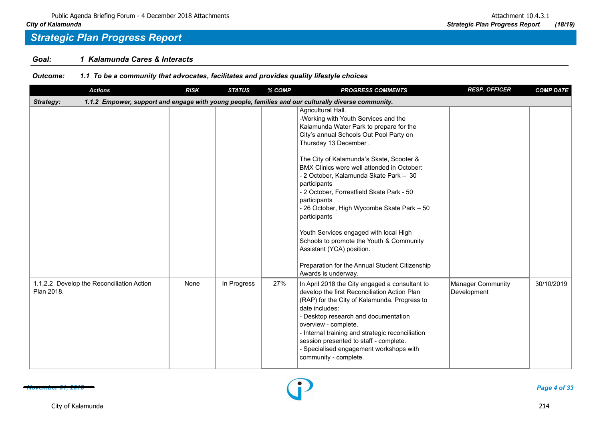### *Goal: 1 Kalamunda Cares & Interacts*

*Outcome: 1.1 To be a community that advocates, facilitates and provides quality lifestyle choices*

| <b>Actions</b>                                          | <b>RISK</b> | <b>STATUS</b> | % COMP | <b>PROGRESS COMMENTS</b>                                                                                                                                                                                                                                                                                                                                                                                                                                                                                                                                                                                                                             | <b>RESP. OFFICER</b>             | <b>COMP DATE</b> |
|---------------------------------------------------------|-------------|---------------|--------|------------------------------------------------------------------------------------------------------------------------------------------------------------------------------------------------------------------------------------------------------------------------------------------------------------------------------------------------------------------------------------------------------------------------------------------------------------------------------------------------------------------------------------------------------------------------------------------------------------------------------------------------------|----------------------------------|------------------|
| Strategy:                                               |             |               |        | 1.1.2 Empower, support and engage with young people, families and our culturally diverse community.                                                                                                                                                                                                                                                                                                                                                                                                                                                                                                                                                  |                                  |                  |
|                                                         |             |               |        | Agricultural Hall.<br>-Working with Youth Services and the<br>Kalamunda Water Park to prepare for the<br>City's annual Schools Out Pool Party on<br>Thursday 13 December.<br>The City of Kalamunda's Skate, Scooter &<br>BMX Clinics were well attended in October:<br>- 2 October, Kalamunda Skate Park - 30<br>participants<br>- 2 October, Forrestfield Skate Park - 50<br>participants<br>- 26 October, High Wycombe Skate Park - 50<br>participants<br>Youth Services engaged with local High<br>Schools to promote the Youth & Community<br>Assistant (YCA) position.<br>Preparation for the Annual Student Citizenship<br>Awards is underway. |                                  |                  |
| 1.1.2.2 Develop the Reconciliation Action<br>Plan 2018. | None        | In Progress   | 27%    | In April 2018 the City engaged a consultant to<br>develop the first Reconciliation Action Plan<br>(RAP) for the City of Kalamunda. Progress to<br>date includes:<br>- Desktop research and documentation<br>overview - complete.<br>- Internal training and strategic reconciliation<br>session presented to staff - complete.<br>- Specialised engagement workshops with<br>community - complete.                                                                                                                                                                                                                                                   | Manager Community<br>Development | 30/10/2019       |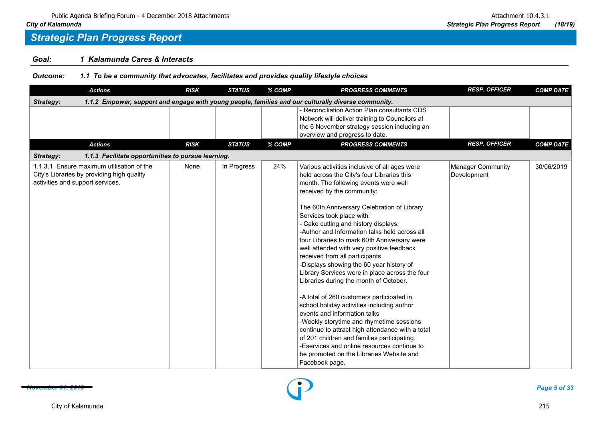### *Goal: 1 Kalamunda Cares & Interacts*

*Outcome: 1.1 To be a community that advocates, facilitates and provides quality lifestyle choices*

|           | <b>Actions</b>                                                                                                              | <b>RISK</b> | <b>STATUS</b> | % COMP | <b>PROGRESS COMMENTS</b>                                                                                                                                                                                                                                                                                                                                                                                                                                                                                                                                                                                                                                                                                                                                                                                                                                                                                                                                                                               | <b>RESP. OFFICER</b>             | <b>COMP DATE</b> |
|-----------|-----------------------------------------------------------------------------------------------------------------------------|-------------|---------------|--------|--------------------------------------------------------------------------------------------------------------------------------------------------------------------------------------------------------------------------------------------------------------------------------------------------------------------------------------------------------------------------------------------------------------------------------------------------------------------------------------------------------------------------------------------------------------------------------------------------------------------------------------------------------------------------------------------------------------------------------------------------------------------------------------------------------------------------------------------------------------------------------------------------------------------------------------------------------------------------------------------------------|----------------------------------|------------------|
| Strategy: |                                                                                                                             |             |               |        | 1.1.2 Empower, support and engage with young people, families and our culturally diverse community.                                                                                                                                                                                                                                                                                                                                                                                                                                                                                                                                                                                                                                                                                                                                                                                                                                                                                                    |                                  |                  |
|           |                                                                                                                             |             |               |        | - Reconciliation Action Plan consultants CDS<br>Network will deliver training to Councilors at<br>the 6 November strategy session including an<br>overview and progress to date.                                                                                                                                                                                                                                                                                                                                                                                                                                                                                                                                                                                                                                                                                                                                                                                                                       |                                  |                  |
|           | <b>Actions</b>                                                                                                              | <b>RISK</b> | <b>STATUS</b> | % COMP | <b>PROGRESS COMMENTS</b>                                                                                                                                                                                                                                                                                                                                                                                                                                                                                                                                                                                                                                                                                                                                                                                                                                                                                                                                                                               | <b>RESP. OFFICER</b>             | <b>COMP DATE</b> |
| Strategy: | 1.1.3 Facilitate opportunities to pursue learning.                                                                          |             |               |        |                                                                                                                                                                                                                                                                                                                                                                                                                                                                                                                                                                                                                                                                                                                                                                                                                                                                                                                                                                                                        |                                  |                  |
|           | 1.1.3.1 Ensure maximum utilisation of the<br>City's Libraries by providing high quality<br>activities and support services. | None        | In Progress   | 24%    | Various activities inclusive of all ages were<br>held across the City's four Libraries this<br>month. The following events were well<br>received by the community:<br>The 60th Anniversary Celebration of Library<br>Services took place with:<br>- Cake cutting and history displays.<br>-Author and Information talks held across all<br>four Libraries to mark 60th Anniversary were<br>well attended with very positive feedback<br>received from all participants.<br>-Displays showing the 60 year history of<br>Library Services were in place across the four<br>Libraries during the month of October.<br>-A total of 260 customers participated in<br>school holiday activities including author<br>events and information talks<br>-Weekly storytime and rhymetime sessions<br>continue to attract high attendance with a total<br>of 201 children and families participating.<br>-Eservices and online resources continue to<br>be promoted on the Libraries Website and<br>Facebook page. | Manager Community<br>Development | 30/06/2019       |

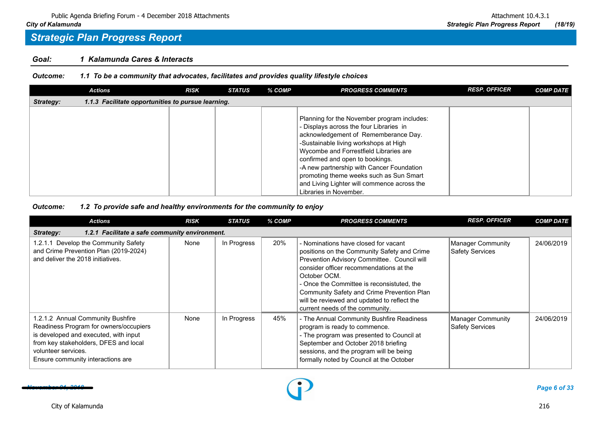### *Goal: 1 Kalamunda Cares & Interacts*

### *Outcome: 1.1 To be a community that advocates, facilitates and provides quality lifestyle choices*

|           | <b>Actions</b>                                     | <b>RISK</b> | <b>STATUS</b> | % COMP | <b>PROGRESS COMMENTS</b>                                                                                                                                                                                                                                                                                                                                                                                              | <b>RESP. OFFICER</b> | <b>COMP DATE</b> |
|-----------|----------------------------------------------------|-------------|---------------|--------|-----------------------------------------------------------------------------------------------------------------------------------------------------------------------------------------------------------------------------------------------------------------------------------------------------------------------------------------------------------------------------------------------------------------------|----------------------|------------------|
| Strategy: | 1.1.3 Facilitate opportunities to pursue learning. |             |               |        |                                                                                                                                                                                                                                                                                                                                                                                                                       |                      |                  |
|           |                                                    |             |               |        | Planning for the November program includes:<br>- Displays across the four Libraries in<br>acknowledgement of Rememberance Day.<br>-Sustainable living workshops at High<br>Wycombe and Forrestfield Libraries are<br>confirmed and open to bookings.<br>-A new partnership with Cancer Foundation<br>promoting theme weeks such as Sun Smart<br>and Living Lighter will commence across the<br>Libraries in November. |                      |                  |

| <b>Actions</b>                                                                                                                                                                                                            | <b>RISK</b> | STATUS      | % COMP | <b>PROGRESS COMMENTS</b>                                                                                                                                                                                                                                                                                                                                                    | <b>RESP. OFFICER</b>                 | <b>COMP DATE</b> |
|---------------------------------------------------------------------------------------------------------------------------------------------------------------------------------------------------------------------------|-------------|-------------|--------|-----------------------------------------------------------------------------------------------------------------------------------------------------------------------------------------------------------------------------------------------------------------------------------------------------------------------------------------------------------------------------|--------------------------------------|------------------|
| 1.2.1 Facilitate a safe community environment.<br>Strategy:                                                                                                                                                               |             |             |        |                                                                                                                                                                                                                                                                                                                                                                             |                                      |                  |
| 1.2.1.1 Develop the Community Safety<br>and Crime Prevention Plan (2019-2024)<br>and deliver the 2018 initiatives.                                                                                                        | None        | In Progress | 20%    | - Nominations have closed for vacant<br>positions on the Community Safety and Crime<br>Prevention Advisory Committee. Council will<br>consider officer recommendations at the<br>October OCM.<br>- Once the Committee is reconsistuted, the<br>Community Safety and Crime Prevention Plan<br>will be reviewed and updated to reflect the<br>current needs of the community. | Manager Community<br>Safety Services | 24/06/2019       |
| 1.2.1.2 Annual Community Bushfire<br>Readiness Program for owners/occupiers<br>is developed and executed, with input<br>from key stakeholders, DFES and local<br>volunteer services.<br>Ensure community interactions are | None        | In Progress | 45%    | - The Annual Community Bushfire Readiness<br>program is ready to commence.<br>- The program was presented to Council at<br>September and October 2018 briefing<br>sessions, and the program will be being<br>formally noted by Council at the October                                                                                                                       | Manager Community<br>Safety Services | 24/06/2019       |

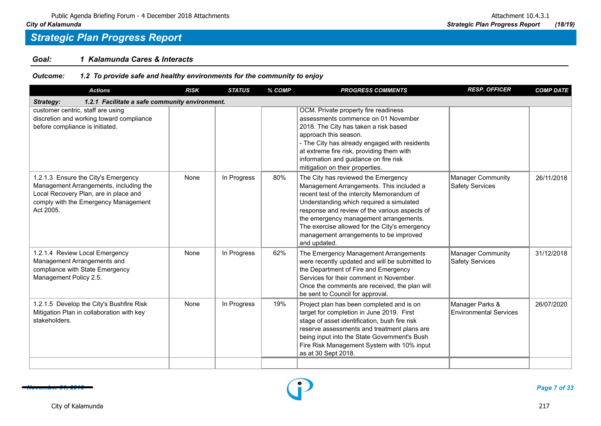### *Goal: 1 Kalamunda Cares & Interacts*

| <b>Actions</b>                                                                                                                                                              | <b>RISK</b> | <b>STATUS</b> | % COMP | <b>PROGRESS COMMENTS</b>                                                                                                                                                                                                                                                                                                                                                        | <b>RESP. OFFICER</b>                               | <b>COMP DATE</b> |
|-----------------------------------------------------------------------------------------------------------------------------------------------------------------------------|-------------|---------------|--------|---------------------------------------------------------------------------------------------------------------------------------------------------------------------------------------------------------------------------------------------------------------------------------------------------------------------------------------------------------------------------------|----------------------------------------------------|------------------|
| 1.2.1 Facilitate a safe community environment.<br><b>Strategy:</b>                                                                                                          |             |               |        |                                                                                                                                                                                                                                                                                                                                                                                 |                                                    |                  |
| customer centric, staff are using<br>discretion and working toward compliance<br>before compliance is initiated.                                                            |             |               |        | OCM. Private property fire readiness<br>assessments commence on 01 November<br>2018. The City has taken a risk based<br>approach this season.<br>- The City has already engaged with residents<br>at extreme fire risk, providing them with<br>information and guidance on fire risk<br>mitigation on their properties.                                                         |                                                    |                  |
| 1.2.1.3 Ensure the City's Emergency<br>Management Arrangements, including the<br>Local Recovery Plan, are in place and<br>comply with the Emergency Management<br>Act 2005. | None        | In Progress   | 80%    | The City has reviewed the Emergency<br>Management Arrangements. This included a<br>recent test of the intercity Memorandum of<br>Understanding which required a simulated<br>response and review of the various aspects of<br>the emergency management arrangements.<br>The exercise allowed for the City's emergency<br>management arrangements to be improved<br>and updated. | <b>Manager Community</b><br><b>Safety Services</b> | 26/11/2018       |
| 1.2.1.4 Review Local Emergency<br>Management Arrangements and<br>compliance with State Emergency<br>Management Policy 2.5.                                                  | None        | In Progress   | 62%    | The Emergency Management Arrangements<br>were recently updated and will be submitted to<br>the Department of Fire and Emergency<br>Services for their comment in November.<br>Once the comments are received, the plan will<br>be sent to Council for approval.                                                                                                                 | <b>Manager Community</b><br><b>Safety Services</b> | 31/12/2018       |
| 1.2.1.5 Develop the City's Bushfire Risk<br>Mitigation Plan in collaboration with key<br>stakeholders.                                                                      | None        | In Progress   | 19%    | Project plan has been completed and is on<br>target for completion in June 2019. First<br>stage of asset identification, bush fire risk<br>reserve assessments and treatment plans are<br>being input into the State Government's Bush<br>Fire Risk Management System with 10% input<br>as at 30 Sept 2018.                                                                     | Manager Parks &<br>Environmental Services          | 26/07/2020       |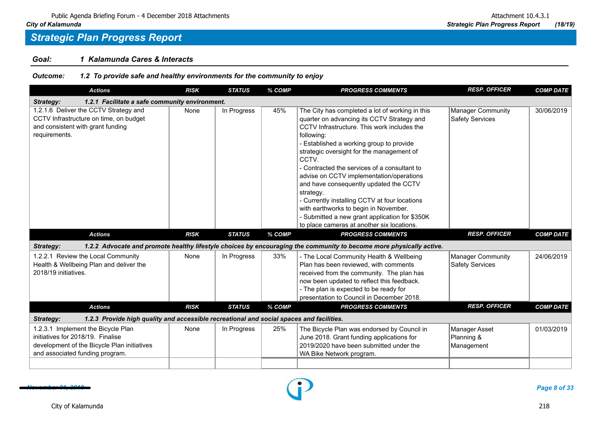### *Goal: 1 Kalamunda Cares & Interacts*

| <b>Actions</b>                                                                                                                                            | <b>RISK</b> | <b>STATUS</b> | % COMP | <b>PROGRESS COMMENTS</b>                                                                                                                                                                                                                                                                                                                                                                                                                                                                                                                                                                              | <b>RESP. OFFICER</b>                        | <b>COMP DATE</b> |
|-----------------------------------------------------------------------------------------------------------------------------------------------------------|-------------|---------------|--------|-------------------------------------------------------------------------------------------------------------------------------------------------------------------------------------------------------------------------------------------------------------------------------------------------------------------------------------------------------------------------------------------------------------------------------------------------------------------------------------------------------------------------------------------------------------------------------------------------------|---------------------------------------------|------------------|
| 1.2.1 Facilitate a safe community environment.<br>Strategy:                                                                                               |             |               |        |                                                                                                                                                                                                                                                                                                                                                                                                                                                                                                                                                                                                       |                                             |                  |
| 1.2.1.6 Deliver the CCTV Strategy and<br>CCTV Infrastructure on time, on budget<br>and consistent with grant funding<br>requirements.                     | None        | In Progress   | 45%    | The City has completed a lot of working in this<br>quarter on advancing its CCTV Strategy and<br>CCTV Infrastructure. This work includes the<br>following:<br>Established a working group to provide<br>strategic oversight for the management of<br>CCTV.<br>- Contracted the services of a consultant to<br>advise on CCTV implementation/operations<br>and have consequently updated the CCTV<br>strategy.<br>- Currently installing CCTV at four locations<br>with earthworks to begin in November.<br>Submitted a new grant application for \$350K<br>to place cameras at another six locations. | Manager Community<br>Safety Services        | 30/06/2019       |
| <b>Actions</b>                                                                                                                                            | <b>RISK</b> | <b>STATUS</b> | % COMP | <b>PROGRESS COMMENTS</b>                                                                                                                                                                                                                                                                                                                                                                                                                                                                                                                                                                              | <b>RESP. OFFICER</b>                        | <b>COMP DATE</b> |
| Strategy:                                                                                                                                                 |             |               |        | 1.2.2 Advocate and promote healthy lifestyle choices by encouraging the community to become more physically active.                                                                                                                                                                                                                                                                                                                                                                                                                                                                                   |                                             |                  |
| 1.2.2.1 Review the Local Community<br>Health & Wellbeing Plan and deliver the<br>2018/19 initiatives.                                                     | None        | In Progress   | 33%    | - The Local Community Health & Wellbeing<br>Plan has been reviewed, with comments<br>received from the community. The plan has<br>now been updated to reflect this feedback.<br>- The plan is expected to be ready for<br>presentation to Council in December 2018.                                                                                                                                                                                                                                                                                                                                   | Manager Community<br><b>Safety Services</b> | 24/06/2019       |
| <b>Actions</b>                                                                                                                                            | <b>RISK</b> | <b>STATUS</b> | % COMP | <b>PROGRESS COMMENTS</b>                                                                                                                                                                                                                                                                                                                                                                                                                                                                                                                                                                              | <b>RESP. OFFICER</b>                        | <b>COMP DATE</b> |
| 1.2.3 Provide high quality and accessible recreational and social spaces and facilities.<br>Strategy:                                                     |             |               |        |                                                                                                                                                                                                                                                                                                                                                                                                                                                                                                                                                                                                       |                                             |                  |
| 1.2.3.1 Implement the Bicycle Plan<br>initiatives for 2018/19. Finalise<br>development of the Bicycle Plan initiatives<br>and associated funding program. | None        | In Progress   | 25%    | The Bicycle Plan was endorsed by Council in<br>June 2018. Grant funding applications for<br>2019/2020 have been submitted under the<br>WA Bike Network program.                                                                                                                                                                                                                                                                                                                                                                                                                                       | Manager Asset<br>Planning &<br>Management   | 01/03/2019       |



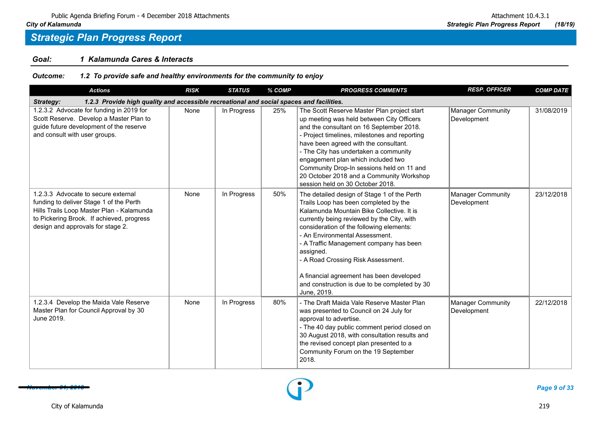### *Goal: 1 Kalamunda Cares & Interacts*

| <b>Actions</b>                                                                                                                                                                                                | <b>RISK</b> | <b>STATUS</b> | % COMP | <b>PROGRESS COMMENTS</b>                                                                                                                                                                                                                                                                                                                                                                                                                                                | <b>RESP. OFFICER</b>                    | <b>COMP DATE</b> |
|---------------------------------------------------------------------------------------------------------------------------------------------------------------------------------------------------------------|-------------|---------------|--------|-------------------------------------------------------------------------------------------------------------------------------------------------------------------------------------------------------------------------------------------------------------------------------------------------------------------------------------------------------------------------------------------------------------------------------------------------------------------------|-----------------------------------------|------------------|
| 1.2.3 Provide high quality and accessible recreational and social spaces and facilities.<br>Strategy:                                                                                                         |             |               |        |                                                                                                                                                                                                                                                                                                                                                                                                                                                                         |                                         |                  |
| 1.2.3.2 Advocate for funding in 2019 for<br>Scott Reserve. Develop a Master Plan to<br>guide future development of the reserve<br>and consult with user groups.                                               | None        | In Progress   | 25%    | The Scott Reserve Master Plan project start<br>up meeting was held between City Officers<br>and the consultant on 16 September 2018.<br>- Project timelines, milestones and reporting<br>have been agreed with the consultant.<br>- The City has undertaken a community<br>engagement plan which included two<br>Community Drop-In sessions held on 11 and<br>20 October 2018 and a Community Workshop<br>session held on 30 October 2018.                              | <b>Manager Community</b><br>Development | 31/08/2019       |
| 1.2.3.3 Advocate to secure external<br>funding to deliver Stage 1 of the Perth<br>Hills Trails Loop Master Plan - Kalamunda<br>to Pickering Brook. If achieved, progress<br>design and approvals for stage 2. | None        | In Progress   | 50%    | The detailed design of Stage 1 of the Perth<br>Trails Loop has been completed by the<br>Kalamunda Mountain Bike Collective. It is<br>currently being reviewed by the City, with<br>consideration of the following elements:<br>- An Environmental Assessment.<br>- A Traffic Management company has been<br>assigned.<br>- A Road Crossing Risk Assessment.<br>A financial agreement has been developed<br>and construction is due to be completed by 30<br>June, 2019. | <b>Manager Community</b><br>Development | 23/12/2018       |
| 1.2.3.4 Develop the Maida Vale Reserve<br>Master Plan for Council Approval by 30<br>June 2019.                                                                                                                | None        | In Progress   | 80%    | - The Draft Maida Vale Reserve Master Plan<br>was presented to Council on 24 July for<br>approval to advertise.<br>- The 40 day public comment period closed on<br>30 August 2018, with consultation results and<br>the revised concept plan presented to a<br>Community Forum on the 19 September<br>2018.                                                                                                                                                             | Manager Community<br>Development        | 22/12/2018       |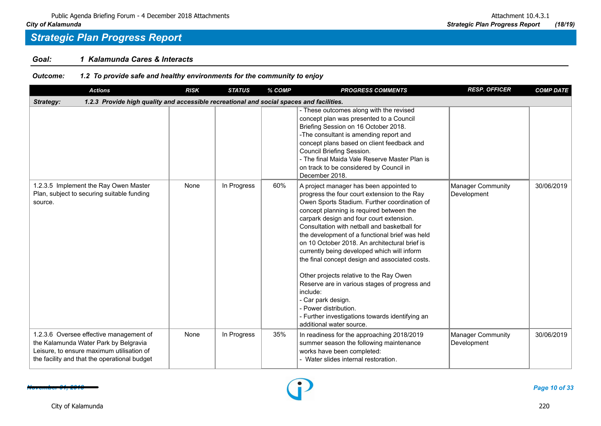### *Goal: 1 Kalamunda Cares & Interacts*

| <b>Actions</b>                                                                                                                                                                | <b>RISK</b> | <b>STATUS</b> | % COMP | <b>PROGRESS COMMENTS</b>                                                                                                                                                                                                                                                                                                                                                                                                                                                                                                                                                                                                                                                                                              | <b>RESP. OFFICER</b>                    | <b>COMP DATE</b> |
|-------------------------------------------------------------------------------------------------------------------------------------------------------------------------------|-------------|---------------|--------|-----------------------------------------------------------------------------------------------------------------------------------------------------------------------------------------------------------------------------------------------------------------------------------------------------------------------------------------------------------------------------------------------------------------------------------------------------------------------------------------------------------------------------------------------------------------------------------------------------------------------------------------------------------------------------------------------------------------------|-----------------------------------------|------------------|
| 1.2.3 Provide high quality and accessible recreational and social spaces and facilities.<br>Strategy:                                                                         |             |               |        |                                                                                                                                                                                                                                                                                                                                                                                                                                                                                                                                                                                                                                                                                                                       |                                         |                  |
|                                                                                                                                                                               |             |               |        | - These outcomes along with the revised<br>concept plan was presented to a Council<br>Briefing Session on 16 October 2018.<br>-The consultant is amending report and<br>concept plans based on client feedback and<br>Council Briefing Session.<br>- The final Maida Vale Reserve Master Plan is<br>on track to be considered by Council in<br>December 2018.                                                                                                                                                                                                                                                                                                                                                         |                                         |                  |
| 1.2.3.5 Implement the Ray Owen Master<br>Plan, subject to securing suitable funding<br>source.                                                                                | None        | In Progress   | 60%    | A project manager has been appointed to<br>progress the four court extension to the Ray<br>Owen Sports Stadium. Further coordination of<br>concept planning is required between the<br>carpark design and four court extension.<br>Consultation with netball and basketball for<br>the development of a functional brief was held<br>on 10 October 2018. An architectural brief is<br>currently being developed which will inform<br>the final concept design and associated costs.<br>Other projects relative to the Ray Owen<br>Reserve are in various stages of progress and<br>include:<br>- Car park design.<br>Power distribution.<br>Further investigations towards identifying an<br>additional water source. | Manager Community<br>Development        | 30/06/2019       |
| 1.2.3.6 Oversee effective management of<br>the Kalamunda Water Park by Belgravia<br>Leisure, to ensure maximum utilisation of<br>the facility and that the operational budget | None        | In Progress   | 35%    | In readiness for the approaching 2018/2019<br>summer season the following maintenance<br>works have been completed:<br>- Water slides internal restoration.                                                                                                                                                                                                                                                                                                                                                                                                                                                                                                                                                           | <b>Manager Community</b><br>Development | 30/06/2019       |

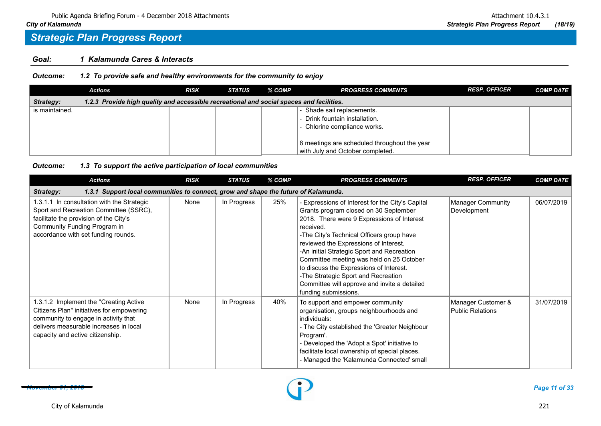### *Goal: 1 Kalamunda Cares & Interacts*

*Outcome: 1.2 To provide safe and healthy environments for the community to enjoy*

|                | <b>Actions</b>                                                                           | <b>RISK</b> | <b>STATUS</b> | % COMP | <b>PROGRESS COMMENTS</b>                                                         | <b>RESP. OFFICER</b> | <b>COMP DATE</b> |
|----------------|------------------------------------------------------------------------------------------|-------------|---------------|--------|----------------------------------------------------------------------------------|----------------------|------------------|
| Strategy:      | 1.2.3 Provide high quality and accessible recreational and social spaces and facilities. |             |               |        |                                                                                  |                      |                  |
| is maintained. |                                                                                          |             |               |        | Shade sail replacements.                                                         |                      |                  |
|                |                                                                                          |             |               |        | - Drink fountain installation.                                                   |                      |                  |
|                |                                                                                          |             |               |        | - Chlorine compliance works.                                                     |                      |                  |
|                |                                                                                          |             |               |        | 8 meetings are scheduled throughout the year<br>with July and October completed. |                      |                  |

#### *Outcome: 1.3 To support the active participation of local communities*

| <b>Actions</b>                                                                                                                                                                                            | <b>RISK</b> | <b>STATUS</b> | % COMP | <b>PROGRESS COMMENTS</b>                                                                                                                                                                                                                                                                                                                                                                                                                                                                       | <b>RESP. OFFICER</b>                   | <b>COMP DATE</b> |  |  |  |  |
|-----------------------------------------------------------------------------------------------------------------------------------------------------------------------------------------------------------|-------------|---------------|--------|------------------------------------------------------------------------------------------------------------------------------------------------------------------------------------------------------------------------------------------------------------------------------------------------------------------------------------------------------------------------------------------------------------------------------------------------------------------------------------------------|----------------------------------------|------------------|--|--|--|--|
| 1.3.1 Support local communities to connect, grow and shape the future of Kalamunda.<br>Strategy:                                                                                                          |             |               |        |                                                                                                                                                                                                                                                                                                                                                                                                                                                                                                |                                        |                  |  |  |  |  |
| 1.3.1.1 In consultation with the Strategic<br>Sport and Recreation Committee (SSRC),<br>facilitate the provision of the City's<br>Community Funding Program in<br>accordance with set funding rounds.     | None        | In Progress   | 25%    | - Expressions of Interest for the City's Capital<br>Grants program closed on 30 September<br>2018. There were 9 Expressions of Interest<br>received.<br>-The City's Technical Officers group have<br>reviewed the Expressions of Interest.<br>-An initial Strategic Sport and Recreation<br>Committee meeting was held on 25 October<br>to discuss the Expressions of Interest.<br>-The Strategic Sport and Recreation<br>Committee will approve and invite a detailed<br>funding submissions. | Manager Community<br>Development       | 06/07/2019       |  |  |  |  |
| 1.3.1.2 Implement the "Creating Active<br>Citizens Plan" initiatives for empowering<br>community to engage in activity that<br>delivers measurable increases in local<br>capacity and active citizenship. | None        | In Progress   | 40%    | To support and empower community<br>organisation, groups neighbourhoods and<br>individuals:<br>- The City established the 'Greater Neighbour<br>Program'.<br>- Developed the 'Adopt a Spot' initiative to<br>facilitate local ownership of special places.<br>- Managed the 'Kalamunda Connected' small                                                                                                                                                                                        | Manager Customer &<br>Public Relations | 31/07/2019       |  |  |  |  |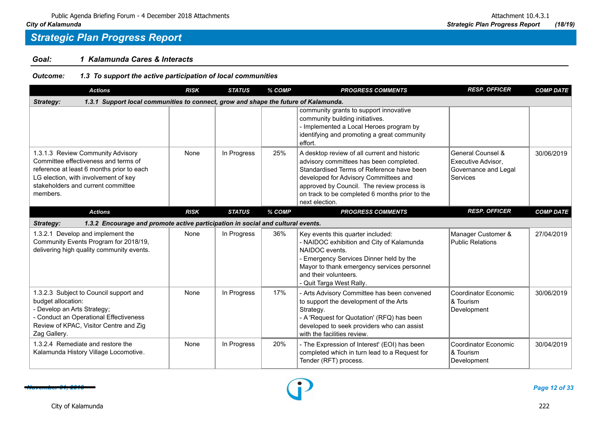### *Goal: 1 Kalamunda Cares & Interacts*

*Outcome: 1.3 To support the active participation of local communities*

| <b>Actions</b>                                                                                                                                                                                                   | <b>RISK</b> | <b>STATUS</b> | % COMP | <b>PROGRESS COMMENTS</b>                                                                                                                                                                                                                                                                        | <b>RESP. OFFICER</b>                                                        | <b>COMP DATE</b> |  |  |  |
|------------------------------------------------------------------------------------------------------------------------------------------------------------------------------------------------------------------|-------------|---------------|--------|-------------------------------------------------------------------------------------------------------------------------------------------------------------------------------------------------------------------------------------------------------------------------------------------------|-----------------------------------------------------------------------------|------------------|--|--|--|
| 1.3.1 Support local communities to connect, grow and shape the future of Kalamunda.<br>Strategy:                                                                                                                 |             |               |        |                                                                                                                                                                                                                                                                                                 |                                                                             |                  |  |  |  |
|                                                                                                                                                                                                                  |             |               |        | community grants to support innovative<br>community building initiatives.<br>- Implemented a Local Heroes program by<br>identifying and promoting a great community<br>effort.                                                                                                                  |                                                                             |                  |  |  |  |
| 1.3.1.3 Review Community Advisory<br>Committee effectiveness and terms of<br>reference at least 6 months prior to each<br>LG election, with involvement of key<br>stakeholders and current committee<br>members. | None        | In Progress   | 25%    | A desktop review of all current and historic<br>advisory committees has been completed.<br>Standardised Terms of Reference have been<br>developed for Advisory Committees and<br>approved by Council. The review process is<br>on track to be completed 6 months prior to the<br>next election. | General Counsel &<br>Executive Advisor.<br>Governance and Legal<br>Services | 30/06/2019       |  |  |  |
| <b>Actions</b>                                                                                                                                                                                                   | <b>RISK</b> | <b>STATUS</b> | % COMP | <b>PROGRESS COMMENTS</b>                                                                                                                                                                                                                                                                        | <b>RESP. OFFICER</b>                                                        | <b>COMP DATE</b> |  |  |  |
| 1.3.2 Encourage and promote active participation in social and cultural events.<br>Strategy:                                                                                                                     |             |               |        |                                                                                                                                                                                                                                                                                                 |                                                                             |                  |  |  |  |
| 1.3.2.1 Develop and implement the<br>Community Events Program for 2018/19,<br>delivering high quality community events.                                                                                          | None        | In Progress   | 36%    | Key events this quarter included:<br>- NAIDOC exhibition and City of Kalamunda<br>NAIDOC events.<br>Emergency Services Dinner held by the<br>Mayor to thank emergency services personnel<br>and their volunteers.<br>- Quit Targa West Rally.                                                   | Manager Customer &<br><b>Public Relations</b>                               | 27/04/2019       |  |  |  |
| 1.3.2.3 Subject to Council support and<br>budget allocation:<br>- Develop an Arts Strategy;<br>- Conduct an Operational Effectiveness<br>Review of KPAC, Visitor Centre and Zig<br>Zag Gallery.                  | None        | In Progress   | 17%    | - Arts Advisory Committee has been convened<br>to support the development of the Arts<br>Strategy.<br>- A 'Request for Quotation' (RFQ) has been<br>developed to seek providers who can assist<br>with the facilities review.                                                                   | Coordinator Economic<br>& Tourism<br>Development                            | 30/06/2019       |  |  |  |
| 1.3.2.4 Remediate and restore the<br>Kalamunda History Village Locomotive.                                                                                                                                       | None        | In Progress   | 20%    | - The Expression of Interest' (EOI) has been<br>completed which in turn lead to a Request for<br>Tender (RFT) process.                                                                                                                                                                          | Coordinator Economic<br>& Tourism<br>Development                            | 30/04/2019       |  |  |  |

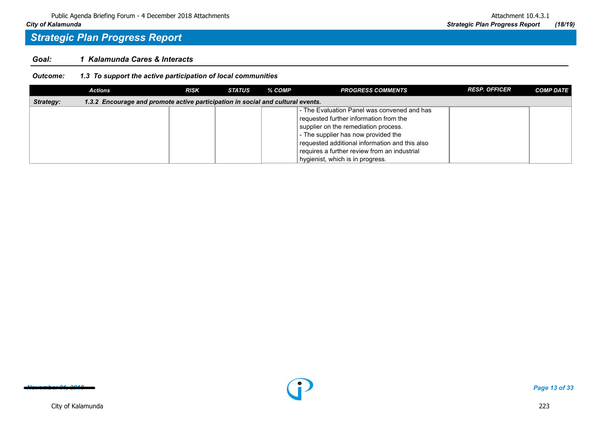### *Goal: 1 Kalamunda Cares & Interacts*

*Outcome: 1.3 To support the active participation of local communities*

|           | <b>Actions</b>                                                                  | <b>RISK</b> | <b>STATUS</b> | % COMP | <b>PROGRESS COMMENTS</b>                       | <b>RESP. OFFICER</b> | <b>COMP DATE</b> |
|-----------|---------------------------------------------------------------------------------|-------------|---------------|--------|------------------------------------------------|----------------------|------------------|
| Strategy: | 1.3.2 Encourage and promote active participation in social and cultural events. |             |               |        |                                                |                      |                  |
|           |                                                                                 |             |               |        | - The Evaluation Panel was convened and has    |                      |                  |
|           |                                                                                 |             |               |        | requested further information from the         |                      |                  |
|           |                                                                                 |             |               |        | supplier on the remediation process.           |                      |                  |
|           |                                                                                 |             |               |        | - The supplier has now provided the            |                      |                  |
|           |                                                                                 |             |               |        | requested additional information and this also |                      |                  |
|           |                                                                                 |             |               |        | requires a further review from an industrial   |                      |                  |
|           |                                                                                 |             |               |        | hygienist, which is in progress.               |                      |                  |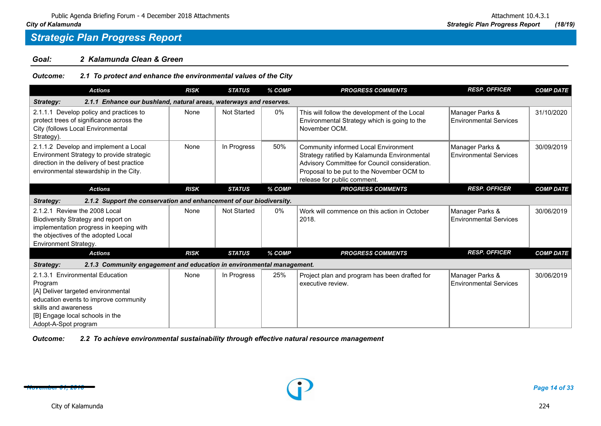### *Goal: 2 Kalamunda Clean & Green*

*Outcome: 2.1 To protect and enhance the environmental values of the City*

| <b>Actions</b>                                                                                                                                                                                               | <b>RISK</b> | <b>STATUS</b>      | % COMP | <b>PROGRESS COMMENTS</b>                                                                                                                                                                                          | <b>RESP. OFFICER</b>                             | <b>COMP DATE</b> |
|--------------------------------------------------------------------------------------------------------------------------------------------------------------------------------------------------------------|-------------|--------------------|--------|-------------------------------------------------------------------------------------------------------------------------------------------------------------------------------------------------------------------|--------------------------------------------------|------------------|
| 2.1.1 Enhance our bushland, natural areas, waterways and reserves.<br>Strategy:                                                                                                                              |             |                    |        |                                                                                                                                                                                                                   |                                                  |                  |
| 2.1.1.1 Develop policy and practices to<br>protect trees of significance across the<br>City (follows Local Environmental<br>Strategy).                                                                       | None        | <b>Not Started</b> | 0%     | This will follow the development of the Local<br>Environmental Strategy which is going to the<br>November OCM.                                                                                                    | Manager Parks &<br><b>Environmental Services</b> | 31/10/2020       |
| 2.1.1.2 Develop and implement a Local<br>Environment Strategy to provide strategic<br>direction in the delivery of best practice<br>environmental stewardship in the City.                                   | None        | In Progress        | 50%    | Community informed Local Environment<br>Strategy ratified by Kalamunda Environmental<br>Advisory Committee for Council consideration.<br>Proposal to be put to the November OCM to<br>release for public comment. | Manager Parks &<br><b>Environmental Services</b> | 30/09/2019       |
| <b>Actions</b>                                                                                                                                                                                               | <b>RISK</b> | <b>STATUS</b>      | % COMP | <b>PROGRESS COMMENTS</b>                                                                                                                                                                                          | <b>RESP. OFFICER</b>                             | <b>COMP DATE</b> |
| 2.1.2 Support the conservation and enhancement of our biodiversity.<br>Strategy:                                                                                                                             |             |                    |        |                                                                                                                                                                                                                   |                                                  |                  |
| 2.1.2.1 Review the 2008 Local<br>Biodiversity Strategy and report on<br>implementation progress in keeping with<br>the objectives of the adopted Local<br>Environment Strategy.                              | None        | Not Started        | 0%     | Work will commence on this action in October<br>2018.                                                                                                                                                             | Manager Parks &<br><b>Environmental Services</b> | 30/06/2019       |
| <b>Actions</b>                                                                                                                                                                                               | <b>RISK</b> | <b>STATUS</b>      | % COMP | <b>PROGRESS COMMENTS</b>                                                                                                                                                                                          | <b>RESP. OFFICER</b>                             | <b>COMP DATE</b> |
| 2.1.3 Community engagement and education in environmental management.<br>Strategy:                                                                                                                           |             |                    |        |                                                                                                                                                                                                                   |                                                  |                  |
| 2.1.3.1 Environmental Education<br>Program<br>[A] Deliver targeted environmental<br>education events to improve community<br>skills and awareness<br>[B] Engage local schools in the<br>Adopt-A-Spot program | None        | In Progress        | 25%    | Project plan and program has been drafted for<br>executive review.                                                                                                                                                | Manager Parks &<br><b>Environmental Services</b> | 30/06/2019       |

*Outcome: 2.2 To achieve environmental sustainability through effective natural resource management*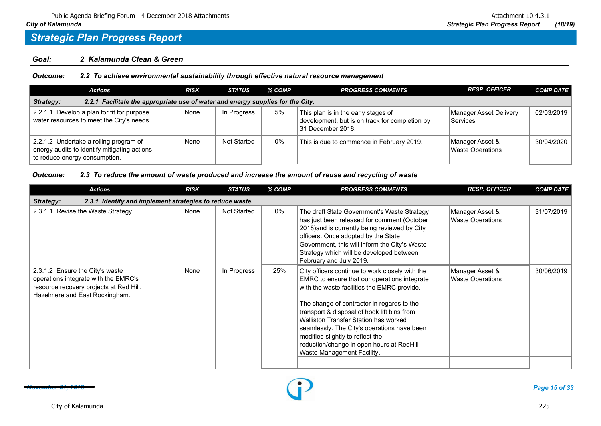### *Goal: 2 Kalamunda Clean & Green*

| Outcome: |  | 2.2 To achieve environmental sustainability through effective natural resource management |  |
|----------|--|-------------------------------------------------------------------------------------------|--|
|----------|--|-------------------------------------------------------------------------------------------|--|

| <b>Actions</b>                                                                                                          | <b>RISK</b> | <b>STATUS</b> | % COMP | <b>PROGRESS COMMENTS</b>                                                                                   | <b>RESP. OFFICER</b>                       | <b>COMP DATE</b> |  |  |  |
|-------------------------------------------------------------------------------------------------------------------------|-------------|---------------|--------|------------------------------------------------------------------------------------------------------------|--------------------------------------------|------------------|--|--|--|
| 2.2.1 Facilitate the appropriate use of water and energy supplies for the City.<br>Strategy:                            |             |               |        |                                                                                                            |                                            |                  |  |  |  |
| 2.2.1.1 Develop a plan for fit for purpose<br>water resources to meet the City's needs.                                 | None        | In Progress   | 5%     | This plan is in the early stages of<br>development, but is on track for completion by<br>31 December 2018. | Manager Asset Delivery<br><b>Services</b>  | 02/03/2019       |  |  |  |
| 2.2.1.2 Undertake a rolling program of<br>energy audits to identify mitigating actions<br>to reduce energy consumption. | None        | Not Started   | $0\%$  | This is due to commence in February 2019.                                                                  | Manager Asset &<br><b>Waste Operations</b> | 30/04/2020       |  |  |  |

### *Outcome: 2.3 To reduce the amount of waste produced and increase the amount of reuse and recycling of waste*

| <b>Actions</b>                                                                                                                                       | <b>RISK</b> | <b>STATUS</b>      | % COMP | <b>PROGRESS COMMENTS</b>                                                                                                                                                                                                                                                                                                                                                                                                                           | <b>RESP. OFFICER</b>                       | <b>COMP DATE</b> |  |  |  |  |
|------------------------------------------------------------------------------------------------------------------------------------------------------|-------------|--------------------|--------|----------------------------------------------------------------------------------------------------------------------------------------------------------------------------------------------------------------------------------------------------------------------------------------------------------------------------------------------------------------------------------------------------------------------------------------------------|--------------------------------------------|------------------|--|--|--|--|
| 2.3.1 Identify and implement strategies to reduce waste.<br>Strategy:                                                                                |             |                    |        |                                                                                                                                                                                                                                                                                                                                                                                                                                                    |                                            |                  |  |  |  |  |
| 2.3.1.1 Revise the Waste Strategy.                                                                                                                   | None        | <b>Not Started</b> | 0%     | The draft State Government's Waste Strategy<br>has just been released for comment (October<br>2018) and is currently being reviewed by City<br>officers. Once adopted by the State<br>Government, this will inform the City's Waste<br>Strategy which will be developed between<br>February and July 2019.                                                                                                                                         | Manager Asset &<br><b>Waste Operations</b> | 31/07/2019       |  |  |  |  |
| 2.3.1.2 Ensure the City's waste<br>operations integrate with the EMRC's<br>resource recovery projects at Red Hill,<br>Hazelmere and East Rockingham. | None        | In Progress        | 25%    | City officers continue to work closely with the<br>EMRC to ensure that our operations integrate<br>with the waste facilities the EMRC provide.<br>The change of contractor in regards to the<br>transport & disposal of hook lift bins from<br>Walliston Transfer Station has worked<br>seamlessly. The City's operations have been<br>modified slightly to reflect the<br>reduction/change in open hours at RedHill<br>Waste Management Facility. | Manager Asset &<br><b>Waste Operations</b> | 30/06/2019       |  |  |  |  |
|                                                                                                                                                      |             |                    |        |                                                                                                                                                                                                                                                                                                                                                                                                                                                    |                                            |                  |  |  |  |  |

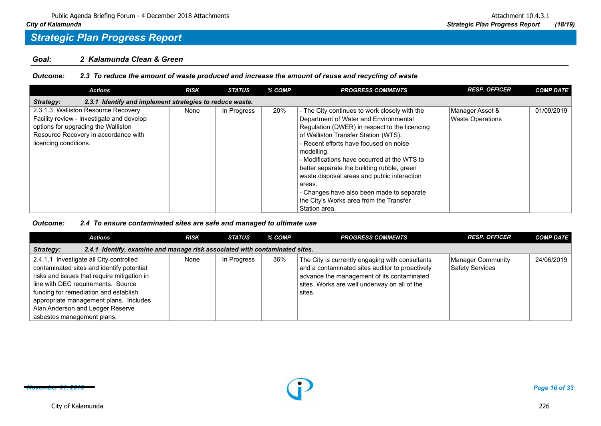### *Goal: 2 Kalamunda Clean & Green*

*Outcome: 2.3 To reduce the amount of waste produced and increase the amount of reuse and recycling of waste*

| <b>Actions</b>                                                                                                                                                                           | <b>RISK</b> | <b>STATUS</b> | % COMP | <b>PROGRESS COMMENTS</b>                                                                                                                                                                                                                                                                                                                                                                                                                                                                               | <b>RESP. OFFICER</b>                       | <b>COMP DATE</b> |  |  |  |  |
|------------------------------------------------------------------------------------------------------------------------------------------------------------------------------------------|-------------|---------------|--------|--------------------------------------------------------------------------------------------------------------------------------------------------------------------------------------------------------------------------------------------------------------------------------------------------------------------------------------------------------------------------------------------------------------------------------------------------------------------------------------------------------|--------------------------------------------|------------------|--|--|--|--|
| 2.3.1 Identify and implement strategies to reduce waste.<br>Strategy:                                                                                                                    |             |               |        |                                                                                                                                                                                                                                                                                                                                                                                                                                                                                                        |                                            |                  |  |  |  |  |
| 2.3.1.3 Walliston Resource Recovery<br>Facility review - Investigate and develop<br>options for upgrading the Walliston<br>Resource Recovery in accordance with<br>licencing conditions. | None        | In Progress   | 20%    | - The City continues to work closely with the<br>Department of Water and Environmental<br>Regulation (DWER) in respect to the licencing<br>of Walliston Transfer Station (WTS).<br>- Recent efforts have focused on noise<br>modelling.<br>- Modifications have occurred at the WTS to<br>better separate the building rubble, green<br>waste disposal areas and public interaction<br>areas.<br>- Changes have also been made to separate<br>the City's Works area from the Transfer<br>Station area. | Manager Asset &<br><b>Waste Operations</b> | 01/09/2019       |  |  |  |  |

#### *Outcome: 2.4 To ensure contaminated sites are safe and managed to ultimate use*

| <b>Actions</b>                                                                                                                                                                                                                                                                                                                 | <b>RISK</b> | <b>STATUS</b> | $%$ COMP | <b>PROGRESS COMMENTS</b>                                                                                                                                                                                   | <b>RESP. OFFICER</b>                 | <b>COMP DATE</b> |  |  |  |
|--------------------------------------------------------------------------------------------------------------------------------------------------------------------------------------------------------------------------------------------------------------------------------------------------------------------------------|-------------|---------------|----------|------------------------------------------------------------------------------------------------------------------------------------------------------------------------------------------------------------|--------------------------------------|------------------|--|--|--|
| 2.4.1 Identify, examine and manage risk associated with contaminated sites.<br>Strategy:                                                                                                                                                                                                                                       |             |               |          |                                                                                                                                                                                                            |                                      |                  |  |  |  |
| 2.4.1.1 Investigate all City controlled<br>contaminated sites and identify potential<br>risks and issues that require mitigation in<br>line with DEC requirements. Source<br>funding for remediation and establish<br>appropriate management plans. Includes<br>Alan Anderson and Ledger Reserve<br>asbestos management plans. | None        | In Progress   | 36%      | The City is currently engaging with consultants<br>and a contaminated sites auditor to proactively<br>advance the management of its contaminated<br>sites. Works are well underway on all of the<br>sites. | Manager Community<br>Safety Services | 24/06/2019       |  |  |  |

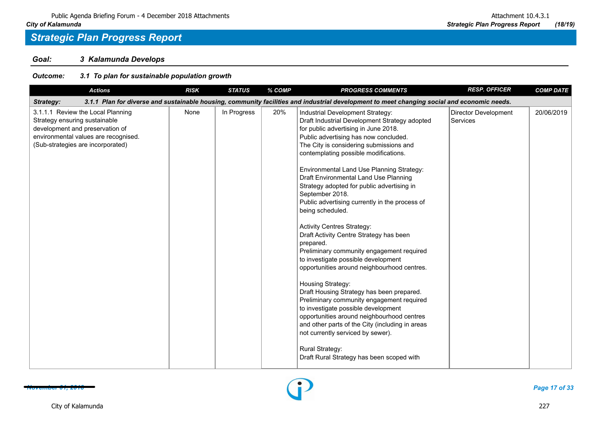*Goal: 3 Kalamunda Develops*

| <b>Actions</b>                                                                                                                                                                     | <b>RISK</b> | <b>STATUS</b> | % COMP | <b>PROGRESS COMMENTS</b>                                                                                                                                                                                                                                                                                                                                                                                                                                                                                                                                                                                                                                                                                                                                                                                                                                                                                                                                                                                                                                                        | <b>RESP. OFFICER</b>             | <b>COMP DATE</b> |
|------------------------------------------------------------------------------------------------------------------------------------------------------------------------------------|-------------|---------------|--------|---------------------------------------------------------------------------------------------------------------------------------------------------------------------------------------------------------------------------------------------------------------------------------------------------------------------------------------------------------------------------------------------------------------------------------------------------------------------------------------------------------------------------------------------------------------------------------------------------------------------------------------------------------------------------------------------------------------------------------------------------------------------------------------------------------------------------------------------------------------------------------------------------------------------------------------------------------------------------------------------------------------------------------------------------------------------------------|----------------------------------|------------------|
| <b>Strategy:</b>                                                                                                                                                                   |             |               |        | 3.1.1 Plan for diverse and sustainable housing, community facilities and industrial development to meet changing social and economic needs.                                                                                                                                                                                                                                                                                                                                                                                                                                                                                                                                                                                                                                                                                                                                                                                                                                                                                                                                     |                                  |                  |
| 3.1.1.1 Review the Local Planning<br>Strategy ensuring sustainable<br>development and preservation of<br>environmental values are recognised.<br>(Sub-strategies are incorporated) | None        | In Progress   | 20%    | Industrial Development Strategy:<br>Draft Industrial Development Strategy adopted<br>for public advertising in June 2018.<br>Public advertising has now concluded.<br>The City is considering submissions and<br>contemplating possible modifications.<br>Environmental Land Use Planning Strategy:<br>Draft Environmental Land Use Planning<br>Strategy adopted for public advertising in<br>September 2018.<br>Public advertising currently in the process of<br>being scheduled.<br><b>Activity Centres Strategy:</b><br>Draft Activity Centre Strategy has been<br>prepared.<br>Preliminary community engagement required<br>to investigate possible development<br>opportunities around neighbourhood centres.<br>Housing Strategy:<br>Draft Housing Strategy has been prepared.<br>Preliminary community engagement required<br>to investigate possible development<br>opportunities around neighbourhood centres<br>and other parts of the City (including in areas<br>not currently serviced by sewer).<br>Rural Strategy:<br>Draft Rural Strategy has been scoped with | Director Development<br>Services | 20/06/2019       |

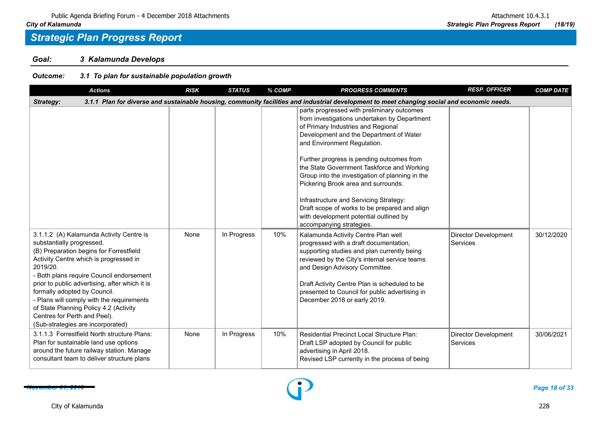*Goal: 3 Kalamunda Develops*

| <b>Actions</b>                                                                                                                                                                                                                                                                                                                                                                                                                                                   | <b>RISK</b> | <b>STATUS</b> | % COMP | <b>PROGRESS COMMENTS</b>                                                                                                                                                                                                                                                                                                                                                                                                                                                                                                                                         | <b>RESP. OFFICER</b>                    | <b>COMP DATE</b> |  |  |  |  |
|------------------------------------------------------------------------------------------------------------------------------------------------------------------------------------------------------------------------------------------------------------------------------------------------------------------------------------------------------------------------------------------------------------------------------------------------------------------|-------------|---------------|--------|------------------------------------------------------------------------------------------------------------------------------------------------------------------------------------------------------------------------------------------------------------------------------------------------------------------------------------------------------------------------------------------------------------------------------------------------------------------------------------------------------------------------------------------------------------------|-----------------------------------------|------------------|--|--|--|--|
| 3.1.1 Plan for diverse and sustainable housing, community facilities and industrial development to meet changing social and economic needs.<br>Strategy:                                                                                                                                                                                                                                                                                                         |             |               |        |                                                                                                                                                                                                                                                                                                                                                                                                                                                                                                                                                                  |                                         |                  |  |  |  |  |
|                                                                                                                                                                                                                                                                                                                                                                                                                                                                  |             |               |        | parts progressed with preliminary outcomes<br>from investigations undertaken by Department<br>of Primary Industries and Regional<br>Development and the Department of Water<br>and Environment Regulation.<br>Further progress is pending outcomes from<br>the State Government Taskforce and Working<br>Group into the investigation of planning in the<br>Pickering Brook area and surrounds.<br>Infrastructure and Servicing Strategy:<br>Draft scope of works to be prepared and align<br>with development potential outlined by<br>accompanying strategies. |                                         |                  |  |  |  |  |
| 3.1.1.2 (A) Kalamunda Activity Centre is<br>substantially progressed.<br>(B) Preparation begins for Forrestfield<br>Activity Centre which is progressed in<br>2019/20.<br>- Both plans require Council endorsement<br>prior to public advertising, after which it is<br>formally adopted by Council.<br>- Plans will comply with the requirements<br>of State Planning Policy 4.2 (Activity<br>Centres for Perth and Peel).<br>(Sub-strategies are incorporated) | None        | In Progress   | 10%    | Kalamunda Activity Centre Plan well<br>progressed with a draft documentation,<br>supporting studies and plan currently being<br>reviewed by the City's internal service teams<br>and Design Advisory Committee.<br>Draft Activity Centre Plan is scheduled to be<br>presented to Council for public advertising in<br>December 2018 or early 2019.                                                                                                                                                                                                               | <b>Director Development</b><br>Services | 30/12/2020       |  |  |  |  |
| 3.1.1.3 Forrestfield North structure Plans:<br>Plan for sustainable land use options<br>around the future railway station. Manage<br>consultant team to deliver structure plans                                                                                                                                                                                                                                                                                  | None        | In Progress   | 10%    | <b>Residential Precinct Local Structure Plan:</b><br>Draft LSP adopted by Council for public<br>advertising in April 2018.<br>Revised LSP currently in the process of being                                                                                                                                                                                                                                                                                                                                                                                      | Director Development<br>Services        | 30/06/2021       |  |  |  |  |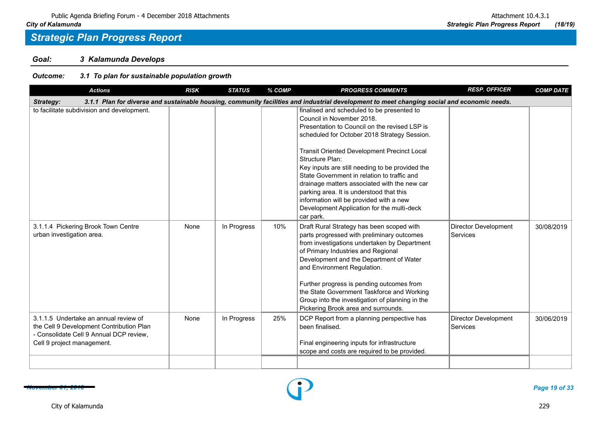*Goal: 3 Kalamunda Develops*

| <b>Actions</b>                                                                                                                                             | <b>RISK</b> | <b>STATUS</b> | % COMP | <b>PROGRESS COMMENTS</b>                                                                                                                                                                                                                                                                                                                                                                                                                                                                                                                       | <b>RESP. OFFICER</b>             | <b>COMP DATE</b> |  |  |  |
|------------------------------------------------------------------------------------------------------------------------------------------------------------|-------------|---------------|--------|------------------------------------------------------------------------------------------------------------------------------------------------------------------------------------------------------------------------------------------------------------------------------------------------------------------------------------------------------------------------------------------------------------------------------------------------------------------------------------------------------------------------------------------------|----------------------------------|------------------|--|--|--|
| 3.1.1 Plan for diverse and sustainable housing, community facilities and industrial development to meet changing social and economic needs.<br>Strategy:   |             |               |        |                                                                                                                                                                                                                                                                                                                                                                                                                                                                                                                                                |                                  |                  |  |  |  |
| to facilitate subdivision and development.                                                                                                                 |             |               |        | finalised and scheduled to be presented to<br>Council in November 2018.<br>Presentation to Council on the revised LSP is<br>scheduled for October 2018 Strategy Session.<br>Transit Oriented Development Precinct Local<br>Structure Plan:<br>Key inputs are still needing to be provided the<br>State Government in relation to traffic and<br>drainage matters associated with the new car<br>parking area. It is understood that this<br>information will be provided with a new<br>Development Application for the multi-deck<br>car park. |                                  |                  |  |  |  |
| 3.1.1.4 Pickering Brook Town Centre<br>urban investigation area.                                                                                           | None        | In Progress   | 10%    | Draft Rural Strategy has been scoped with<br>parts progressed with preliminary outcomes<br>from investigations undertaken by Department<br>of Primary Industries and Regional<br>Development and the Department of Water<br>and Environment Regulation.<br>Further progress is pending outcomes from<br>the State Government Taskforce and Working<br>Group into the investigation of planning in the<br>Pickering Brook area and surrounds.                                                                                                   | Director Development<br>Services | 30/08/2019       |  |  |  |
| 3.1.1.5 Undertake an annual review of<br>the Cell 9 Development Contribution Plan<br>- Consolidate Cell 9 Annual DCP review,<br>Cell 9 project management. | None        | In Progress   | 25%    | DCP Report from a planning perspective has<br>been finalised.<br>Final engineering inputs for infrastructure<br>scope and costs are required to be provided.                                                                                                                                                                                                                                                                                                                                                                                   | Director Development<br>Services | 30/06/2019       |  |  |  |
|                                                                                                                                                            |             |               |        |                                                                                                                                                                                                                                                                                                                                                                                                                                                                                                                                                |                                  |                  |  |  |  |

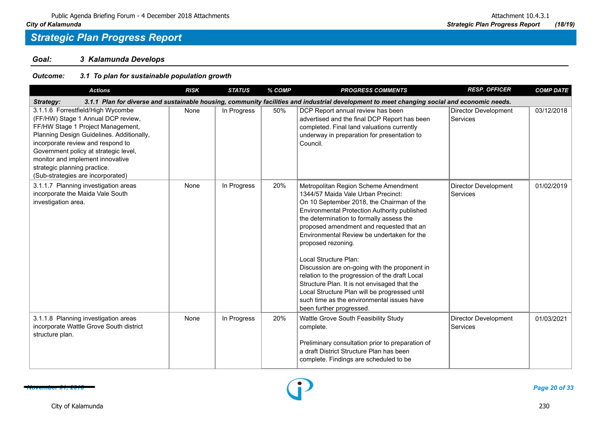*Goal: 3 Kalamunda Develops*

| <b>Actions</b>                                                                                                                                                                                                                                                                                                                                   | <b>RISK</b> | <b>STATUS</b> | % COMP | <b>PROGRESS COMMENTS</b>                                                                                                                                                                                                                                                                                                                                                                                                                                                                                                                                                                                                                   | <b>RESP. OFFICER</b>             | <b>COMP DATE</b> |  |  |  |  |
|--------------------------------------------------------------------------------------------------------------------------------------------------------------------------------------------------------------------------------------------------------------------------------------------------------------------------------------------------|-------------|---------------|--------|--------------------------------------------------------------------------------------------------------------------------------------------------------------------------------------------------------------------------------------------------------------------------------------------------------------------------------------------------------------------------------------------------------------------------------------------------------------------------------------------------------------------------------------------------------------------------------------------------------------------------------------------|----------------------------------|------------------|--|--|--|--|
| 3.1.1 Plan for diverse and sustainable housing, community facilities and industrial development to meet changing social and economic needs.<br>Strategy:                                                                                                                                                                                         |             |               |        |                                                                                                                                                                                                                                                                                                                                                                                                                                                                                                                                                                                                                                            |                                  |                  |  |  |  |  |
| 3.1.1.6 Forrestfield/High Wycombe<br>(FF/HW) Stage 1 Annual DCP review,<br>FF/HW Stage 1 Project Management,<br>Planning Design Guidelines. Additionally,<br>incorporate review and respond to<br>Government policy at strategic level,<br>monitor and implement innovative<br>strategic planning practice.<br>(Sub-strategies are incorporated) | None        | In Progress   | 50%    | DCP Report annual review has been<br>advertised and the final DCP Report has been<br>completed. Final land valuations currently<br>underway in preparation for presentation to<br>Council.                                                                                                                                                                                                                                                                                                                                                                                                                                                 | Director Development<br>Services | 03/12/2018       |  |  |  |  |
| 3.1.1.7 Planning investigation areas<br>incorporate the Maida Vale South<br>investigation area.                                                                                                                                                                                                                                                  | None        | In Progress   | 20%    | Metropolitan Region Scheme Amendment<br>1344/57 Maida Vale Urban Precinct:<br>On 10 September 2018, the Chairman of the<br>Environmental Protection Authority published<br>the determination to formally assess the<br>proposed amendment and requested that an<br>Environmental Review be undertaken for the<br>proposed rezoning.<br>Local Structure Plan:<br>Discussion are on-going with the proponent in<br>relation to the progression of the draft Local<br>Structure Plan. It is not envisaged that the<br>Local Structure Plan will be progressed until<br>such time as the environmental issues have<br>been further progressed. | Director Development<br>Services | 01/02/2019       |  |  |  |  |
| 3.1.1.8 Planning investigation areas<br>incorporate Wattle Grove South district<br>structure plan.                                                                                                                                                                                                                                               | None        | In Progress   | 20%    | Wattle Grove South Feasibility Study<br>complete.<br>Preliminary consultation prior to preparation of<br>a draft District Structure Plan has been<br>complete. Findings are scheduled to be                                                                                                                                                                                                                                                                                                                                                                                                                                                | Director Development<br>Services | 01/03/2021       |  |  |  |  |

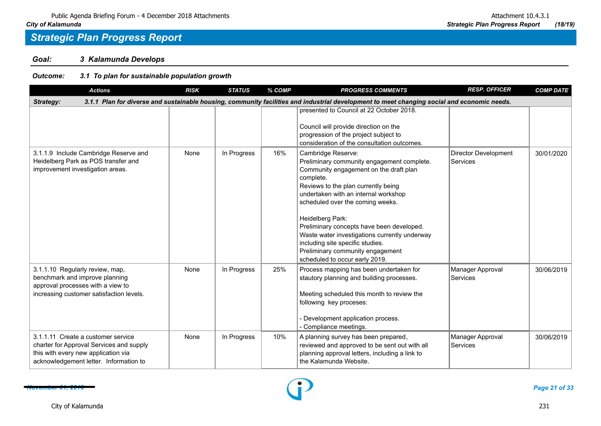*Goal: 3 Kalamunda Develops*

| <b>Actions</b>                                                                                                                                                  | <b>RISK</b> | <b>STATUS</b> | % COMP | <b>PROGRESS COMMENTS</b>                                                                                                                                                                                                                                                                                                                                                                                                                                               | <b>RESP. OFFICER</b>             | <b>COMP DATE</b> |  |  |  |  |
|-----------------------------------------------------------------------------------------------------------------------------------------------------------------|-------------|---------------|--------|------------------------------------------------------------------------------------------------------------------------------------------------------------------------------------------------------------------------------------------------------------------------------------------------------------------------------------------------------------------------------------------------------------------------------------------------------------------------|----------------------------------|------------------|--|--|--|--|
| 3.1.1 Plan for diverse and sustainable housing, community facilities and industrial development to meet changing social and economic needs.<br>Strategy:        |             |               |        |                                                                                                                                                                                                                                                                                                                                                                                                                                                                        |                                  |                  |  |  |  |  |
|                                                                                                                                                                 |             |               |        | presented to Council at 22 October 2018.<br>Council will provide direction on the<br>progression of the project subject to<br>consideration of the consultation outcomes.                                                                                                                                                                                                                                                                                              |                                  |                  |  |  |  |  |
| 3.1.1.9 Include Cambridge Reserve and<br>Heidelberg Park as POS transfer and<br>improvement investigation areas.                                                | None        | In Progress   | 16%    | Cambridge Reserve:<br>Preliminary community engagement complete.<br>Community engagement on the draft plan<br>complete.<br>Reviews to the plan currently being<br>undertaken with an internal workshop<br>scheduled over the coming weeks.<br>Heidelberg Park:<br>Preliminary concepts have been developed.<br>Waste water investigations currently underway<br>including site specific studies.<br>Preliminary community engagement<br>scheduled to occur early 2019. | Director Development<br>Services | 30/01/2020       |  |  |  |  |
| 3.1.1.10 Regularly review, map,<br>benchmark and improve planning<br>approval processes with a view to<br>increasing customer satisfaction levels.              | None        | In Progress   | 25%    | Process mapping has been undertaken for<br>stautory planning and building processes.<br>Meeting scheduled this month to review the<br>following key proceses:<br>Development application process.<br>Compliance meetings.                                                                                                                                                                                                                                              | Manager Approval<br>Services     | 30/06/2019       |  |  |  |  |
| 3.1.1.11 Create a customer service<br>charter for Approval Services and supply<br>this with every new application via<br>acknowledgement letter. Information to | None        | In Progress   | 10%    | A planning survey has been prepared,<br>reviewed and approved to be sent out with all<br>planning approval letters, including a link to<br>the Kalamunda Website.                                                                                                                                                                                                                                                                                                      | Manager Approval<br>Services     | 30/06/2019       |  |  |  |  |

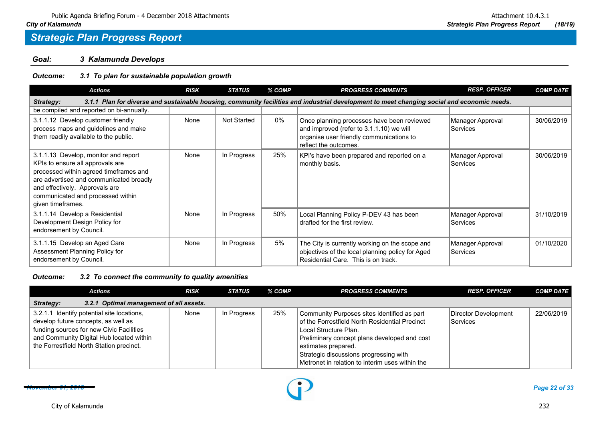*Goal: 3 Kalamunda Develops*

### *Outcome: 3.1 To plan for sustainable population growth*

| <b>Actions</b>                                                                                                                                                                                                                                            | <b>RISK</b> | <b>STATUS</b>      | % COMP | <b>PROGRESS COMMENTS</b>                                                                                                                                    | <b>RESP. OFFICER</b>         | <b>COMP DATE</b> |  |  |  |  |
|-----------------------------------------------------------------------------------------------------------------------------------------------------------------------------------------------------------------------------------------------------------|-------------|--------------------|--------|-------------------------------------------------------------------------------------------------------------------------------------------------------------|------------------------------|------------------|--|--|--|--|
| 3.1.1 Plan for diverse and sustainable housing, community facilities and industrial development to meet changing social and economic needs.<br>Strategy:                                                                                                  |             |                    |        |                                                                                                                                                             |                              |                  |  |  |  |  |
| be compiled and reported on bi-annually.                                                                                                                                                                                                                  |             |                    |        |                                                                                                                                                             |                              |                  |  |  |  |  |
| 3.1.1.12 Develop customer friendly<br>process maps and guidelines and make<br>them readily available to the public.                                                                                                                                       | None        | <b>Not Started</b> | 0%     | Once planning processes have been reviewed<br>and improved (refer to 3.1.1.10) we will<br>organise user friendly communications to<br>reflect the outcomes. | Manager Approval<br>Services | 30/06/2019       |  |  |  |  |
| 3.1.1.13 Develop, monitor and report<br>KPIs to ensure all approvals are<br>processed within agreed timeframes and<br>are advertised and communicated broadly<br>and effectively. Approvals are<br>communicated and processed within<br>given timeframes. | None        | In Progress        | 25%    | KPI's have been prepared and reported on a<br>monthly basis.                                                                                                | Manager Approval<br>Services | 30/06/2019       |  |  |  |  |
| 3.1.1.14 Develop a Residential<br>Development Design Policy for<br>endorsement by Council.                                                                                                                                                                | None        | In Progress        | 50%    | Local Planning Policy P-DEV 43 has been<br>drafted for the first review.                                                                                    | Manager Approval<br>Services | 31/10/2019       |  |  |  |  |
| 3.1.1.15 Develop an Aged Care<br>Assessment Planning Policy for<br>endorsement by Council.                                                                                                                                                                | None        | In Progress        | 5%     | The City is currently working on the scope and<br>objectives of the local planning policy for Aged<br>Residential Care. This is on track.                   | Manager Approval<br>Services | 01/10/2020       |  |  |  |  |

*Outcome: 3.2 To connect the community to quality amenities*

| <b>Actions</b>                                                                                                                                                                                                        | <b>RISK</b> | STATUS      | % COMP | <b>PROGRESS COMMENTS</b>                                                                                                                                                                                                                                                                   | <b>RESP. OFFICER</b>             | <b>COMP DATE</b> |
|-----------------------------------------------------------------------------------------------------------------------------------------------------------------------------------------------------------------------|-------------|-------------|--------|--------------------------------------------------------------------------------------------------------------------------------------------------------------------------------------------------------------------------------------------------------------------------------------------|----------------------------------|------------------|
| 3.2.1 Optimal management of all assets.<br>Strategy:                                                                                                                                                                  |             |             |        |                                                                                                                                                                                                                                                                                            |                                  |                  |
| 3.2.1.1 Identify potential site locations,<br>develop future concepts, as well as<br>funding sources for new Civic Facilities<br>and Community Digital Hub located within<br>the Forrestfield North Station precinct. | None        | In Progress | 25%    | Community Purposes sites identified as part<br>of the Forrestfield North Residential Precinct<br>Local Structure Plan.<br>Preliminary concept plans developed and cost<br>estimates prepared.<br>Strategic discussions progressing with<br>Metronet in relation to interim uses within the | Director Development<br>Services | 22/06/2019       |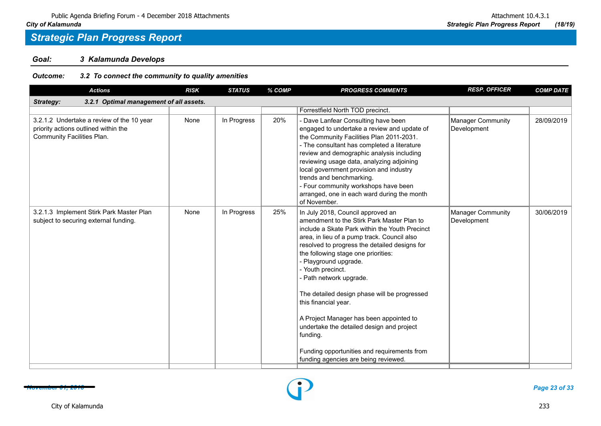*Goal: 3 Kalamunda Develops*

### *Outcome: 3.2 To connect the community to quality amenities*

| <b>Actions</b>                                                                                                  | <b>RISK</b> | <b>STATUS</b> | % COMP | <b>PROGRESS COMMENTS</b>                                                                                                                                                                                                                                                                                                                                                                                                                                                                                                                                                                                         | <b>RESP. OFFICER</b>                    | <b>COMP DATE</b> |
|-----------------------------------------------------------------------------------------------------------------|-------------|---------------|--------|------------------------------------------------------------------------------------------------------------------------------------------------------------------------------------------------------------------------------------------------------------------------------------------------------------------------------------------------------------------------------------------------------------------------------------------------------------------------------------------------------------------------------------------------------------------------------------------------------------------|-----------------------------------------|------------------|
| 3.2.1 Optimal management of all assets.<br>Strategy:                                                            |             |               |        |                                                                                                                                                                                                                                                                                                                                                                                                                                                                                                                                                                                                                  |                                         |                  |
|                                                                                                                 |             |               |        | Forrestfield North TOD precinct.                                                                                                                                                                                                                                                                                                                                                                                                                                                                                                                                                                                 |                                         |                  |
| 3.2.1.2 Undertake a review of the 10 year<br>priority actions outlined within the<br>Community Facilities Plan. | None        | In Progress   | 20%    | Dave Lanfear Consulting have been<br>engaged to undertake a review and update of<br>the Community Facilities Plan 2011-2031.<br>- The consultant has completed a literature<br>review and demographic analysis including<br>reviewing usage data, analyzing adjoining<br>local government provision and industry<br>trends and benchmarking.<br>- Four community workshops have been<br>arranged, one in each ward during the month<br>of November.                                                                                                                                                              | Manager Community<br>Development        | 28/09/2019       |
| 3.2.1.3 Implement Stirk Park Master Plan<br>subject to securing external funding.                               | None        | In Progress   | 25%    | In July 2018, Council approved an<br>amendment to the Stirk Park Master Plan to<br>include a Skate Park within the Youth Precinct<br>area, in lieu of a pump track. Council also<br>resolved to progress the detailed designs for<br>the following stage one priorities:<br>Playground upgrade.<br>- Youth precinct.<br>Path network upgrade.<br>The detailed design phase will be progressed<br>this financial year.<br>A Project Manager has been appointed to<br>undertake the detailed design and project<br>funding.<br>Funding opportunities and requirements from<br>funding agencies are being reviewed. | <b>Manager Community</b><br>Development | 30/06/2019       |

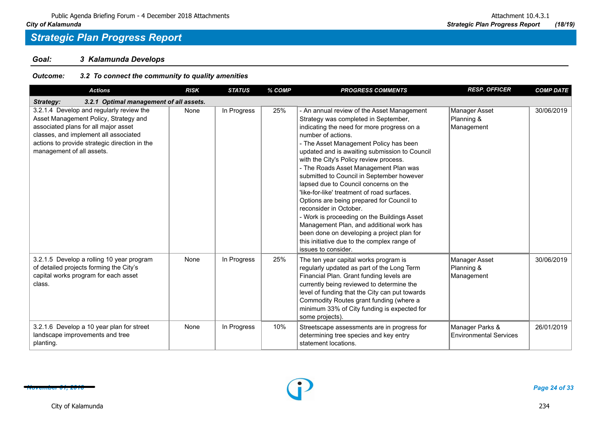*Goal: 3 Kalamunda Develops*

*Outcome: 3.2 To connect the community to quality amenities*

| <b>Actions</b>                                                                                                                                                                                                                                   | <b>RISK</b> | <b>STATUS</b> | % COMP | <b>PROGRESS COMMENTS</b>                                                                                                                                                                                                                                                                                                                                                                                                                                                                                                                                                                                                                                                                                                                                       | <b>RESP. OFFICER</b>                             | <b>COMP DATE</b> |
|--------------------------------------------------------------------------------------------------------------------------------------------------------------------------------------------------------------------------------------------------|-------------|---------------|--------|----------------------------------------------------------------------------------------------------------------------------------------------------------------------------------------------------------------------------------------------------------------------------------------------------------------------------------------------------------------------------------------------------------------------------------------------------------------------------------------------------------------------------------------------------------------------------------------------------------------------------------------------------------------------------------------------------------------------------------------------------------------|--------------------------------------------------|------------------|
| 3.2.1 Optimal management of all assets.<br>Strategy:                                                                                                                                                                                             |             |               |        |                                                                                                                                                                                                                                                                                                                                                                                                                                                                                                                                                                                                                                                                                                                                                                |                                                  |                  |
| 3.2.1.4 Develop and regularly review the<br>Asset Management Policy, Strategy and<br>associated plans for all major asset<br>classes, and implement all associated<br>actions to provide strategic direction in the<br>management of all assets. | None        | In Progress   | 25%    | - An annual review of the Asset Management<br>Strategy was completed in September,<br>indicating the need for more progress on a<br>number of actions.<br>- The Asset Management Policy has been<br>updated and is awaiting submission to Council<br>with the City's Policy review process.<br>- The Roads Asset Management Plan was<br>submitted to Council in September however<br>lapsed due to Council concerns on the<br>like-for-like' treatment of road surfaces.<br>Options are being prepared for Council to<br>reconsider in October.<br>- Work is proceeding on the Buildings Asset<br>Management Plan, and additional work has<br>been done on developing a project plan for<br>this initiative due to the complex range of<br>issues to consider. | Manager Asset<br>Planning &<br>Management        | 30/06/2019       |
| 3.2.1.5 Develop a rolling 10 year program<br>of detailed projects forming the City's<br>capital works program for each asset<br>class.                                                                                                           | None        | In Progress   | 25%    | The ten year capital works program is<br>regularly updated as part of the Long Term<br>Financial Plan. Grant funding levels are<br>currently being reviewed to determine the<br>level of funding that the City can put towards<br>Commodity Routes grant funding (where a<br>minimum 33% of City funding is expected for<br>some projects).                                                                                                                                                                                                                                                                                                                                                                                                                    | Manager Asset<br>Planning &<br>Management        | 30/06/2019       |
| 3.2.1.6 Develop a 10 year plan for street<br>landscape improvements and tree<br>planting.                                                                                                                                                        | None        | In Progress   | 10%    | Streetscape assessments are in progress for<br>determining tree species and key entry<br>statement locations.                                                                                                                                                                                                                                                                                                                                                                                                                                                                                                                                                                                                                                                  | Manager Parks &<br><b>Environmental Services</b> | 26/01/2019       |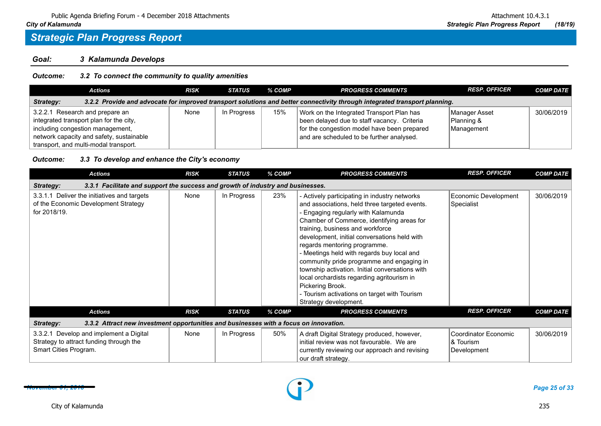*Goal: 3 Kalamunda Develops*

#### *Outcome: 3.2 To connect the community to quality amenities*

| Actions                                                                                                                                                                                             | <b>RISK</b> | <b>STATUS</b> | % COMP | <b>PROGRESS COMMENTS</b>                                                                                                                                                             | <b>RESP. OFFICER</b>                      | <b>COMP DATE</b> |  |  |  |
|-----------------------------------------------------------------------------------------------------------------------------------------------------------------------------------------------------|-------------|---------------|--------|--------------------------------------------------------------------------------------------------------------------------------------------------------------------------------------|-------------------------------------------|------------------|--|--|--|
| 3.2.2 Provide and advocate for improved transport solutions and better connectivity through integrated transport planning.<br>Strategy:                                                             |             |               |        |                                                                                                                                                                                      |                                           |                  |  |  |  |
| 3.2.2.1 Research and prepare an<br>integrated transport plan for the city,<br>including congestion management,<br>network capacity and safety, sustainable<br>transport, and multi-modal transport. | None        | In Progress   | 15%    | Work on the Integrated Transport Plan has<br>been delayed due to staff vacancy. Criteria<br>for the congestion model have been prepared<br>and are scheduled to be further analysed. | Manager Asset<br>Planning &<br>Management | 30/06/2019       |  |  |  |

#### *Outcome: 3.3 To develop and enhance the City's economy*

| <b>Actions</b>                                                                                              | <b>RISK</b> | <b>STATUS</b> | % COMP | <b>PROGRESS COMMENTS</b>                                                                                                                                                                                                                                                                                                                                                                                                                                                                                                                                                                         | <b>RESP. OFFICER</b>                             | <b>COMP DATE</b> |  |  |  |  |
|-------------------------------------------------------------------------------------------------------------|-------------|---------------|--------|--------------------------------------------------------------------------------------------------------------------------------------------------------------------------------------------------------------------------------------------------------------------------------------------------------------------------------------------------------------------------------------------------------------------------------------------------------------------------------------------------------------------------------------------------------------------------------------------------|--------------------------------------------------|------------------|--|--|--|--|
| 3.3.1 Facilitate and support the success and growth of industry and businesses.<br>Strategy:                |             |               |        |                                                                                                                                                                                                                                                                                                                                                                                                                                                                                                                                                                                                  |                                                  |                  |  |  |  |  |
| 3.3.1.1 Deliver the initiatives and targets<br>of the Economic Development Strategy<br>for 2018/19.         | None        | In Progress   | 23%    | - Actively participating in industry networks<br>and associations, held three targeted events.<br>- Engaging regularly with Kalamunda<br>Chamber of Commerce, identifying areas for<br>training, business and workforce<br>development, initial conversations held with<br>regards mentoring programme.<br>- Meetings held with regards buy local and<br>community pride programme and engaging in<br>township activation. Initial conversations with<br>local orchardists regarding agritourism in<br>Pickering Brook.<br>- Tourism activations on target with Tourism<br>Strategy development. | Economic Development<br>Specialist               | 30/06/2019       |  |  |  |  |
| <b>Actions</b>                                                                                              | <b>RISK</b> | <b>STATUS</b> | % COMP | <b>PROGRESS COMMENTS</b>                                                                                                                                                                                                                                                                                                                                                                                                                                                                                                                                                                         | <b>RESP. OFFICER</b>                             | <b>COMP DATE</b> |  |  |  |  |
| 3.3.2 Attract new investment opportunities and businesses with a focus on innovation.<br><b>Strategy:</b>   |             |               |        |                                                                                                                                                                                                                                                                                                                                                                                                                                                                                                                                                                                                  |                                                  |                  |  |  |  |  |
| 3.3.2.1 Develop and implement a Digital<br>Strategy to attract funding through the<br>Smart Cities Program. | None        | In Progress   | 50%    | A draft Digital Strategy produced, however,<br>initial review was not favourable. We are<br>currently reviewing our approach and revising<br>our draft strategy.                                                                                                                                                                                                                                                                                                                                                                                                                                 | Coordinator Economic<br>& Tourism<br>Development | 30/06/2019       |  |  |  |  |

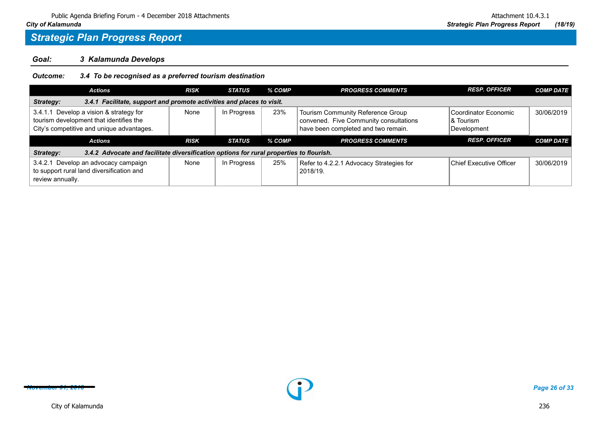*Goal: 3 Kalamunda Develops*

*Outcome: 3.4 To be recognised as a preferred tourism destination*

| <b>Actions</b>                                                                                                                  | <b>RISK</b> | <b>STATUS</b> | % COMP | <b>PROGRESS COMMENTS</b>                                                                                           | <b>RESP. OFFICER</b>                              | <b>COMP DATE</b> |  |  |  |
|---------------------------------------------------------------------------------------------------------------------------------|-------------|---------------|--------|--------------------------------------------------------------------------------------------------------------------|---------------------------------------------------|------------------|--|--|--|
| 3.4.1 Facilitate, support and promote activities and places to visit.<br>Strategy:                                              |             |               |        |                                                                                                                    |                                                   |                  |  |  |  |
| 3.4.1.1 Develop a vision & strategy for<br>tourism development that identifies the<br>City's competitive and unique advantages. | None        | In Progress   | 23%    | Tourism Community Reference Group<br>convened. Five Community consultations<br>have been completed and two remain. | Coordinator Economic<br>∣& Tourism<br>Development | 30/06/2019       |  |  |  |
| <b>Actions</b>                                                                                                                  | <b>RISK</b> | STATUS        | % COMP | <b>PROGRESS COMMENTS</b>                                                                                           | <b>RESP. OFFICER</b>                              | <b>COMP DATE</b> |  |  |  |
| 3.4.2 Advocate and facilitate diversification options for rural properties to flourish.<br>Strategy:                            |             |               |        |                                                                                                                    |                                                   |                  |  |  |  |
| 3.4.2.1 Develop an advocacy campaign<br>to support rural land diversification and<br>review annually.                           | None        | In Progress   | 25%    | Refer to 4.2.2.1 Advocacy Strategies for<br>2018/19.                                                               | <b>IChief Executive Officer</b>                   | 30/06/2019       |  |  |  |

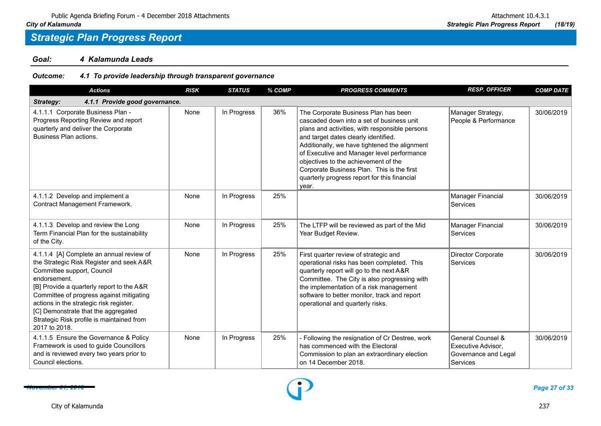*Goal: 4 Kalamunda Leads*

*Outcome: 4.1 To provide leadership through transparent governance*

| <b>Actions</b>                                                                                                                                                                                                                                                                                                                                                              | <b>RISK</b> | <b>STATUS</b> | % COMP | <b>PROGRESS COMMENTS</b>                                                                                                                                                                                                                                                                                                                                                                                                  | <b>RESP. OFFICER</b>                                                        | <b>COMP DATE</b> |  |  |  |  |
|-----------------------------------------------------------------------------------------------------------------------------------------------------------------------------------------------------------------------------------------------------------------------------------------------------------------------------------------------------------------------------|-------------|---------------|--------|---------------------------------------------------------------------------------------------------------------------------------------------------------------------------------------------------------------------------------------------------------------------------------------------------------------------------------------------------------------------------------------------------------------------------|-----------------------------------------------------------------------------|------------------|--|--|--|--|
| 4.1.1 Provide good governance.<br>Strategy:                                                                                                                                                                                                                                                                                                                                 |             |               |        |                                                                                                                                                                                                                                                                                                                                                                                                                           |                                                                             |                  |  |  |  |  |
| 4.1.1.1 Corporate Business Plan -<br>Progress Reporting Review and report<br>quarterly and deliver the Corporate<br>Business Plan actions.                                                                                                                                                                                                                                  | None        | In Progress   | 36%    | The Corporate Business Plan has been<br>cascaded down into a set of business unit<br>plans and activities, with responsible persons<br>and target dates clearly identified.<br>Additionally, we have tightened the alignment<br>of Executive and Manager level performance<br>objectives to the achievement of the<br>Corporate Business Plan. This is the first<br>quarterly progress report for this financial<br>year. | Manager Strategy,<br>People & Performance                                   | 30/06/2019       |  |  |  |  |
| 4.1.1.2 Develop and implement a<br>Contract Management Framework.                                                                                                                                                                                                                                                                                                           | None        | In Progress   | 25%    |                                                                                                                                                                                                                                                                                                                                                                                                                           | Manager Financial<br>Services                                               | 30/06/2019       |  |  |  |  |
| 4.1.1.3 Develop and review the Long<br>Term Financial Plan for the sustainability<br>of the City.                                                                                                                                                                                                                                                                           | None        | In Progress   | 25%    | The LTFP will be reviewed as part of the Mid<br>Year Budget Review.                                                                                                                                                                                                                                                                                                                                                       | Manager Financial<br>Services                                               | 30/06/2019       |  |  |  |  |
| 4.1.1.4 [A] Complete an annual review of<br>the Strategic Risk Register and seek A&R<br>Committee support, Council<br>endorsement.<br>[B] Provide a quarterly report to the A&R<br>Committee of progress against mitigating<br>actions in the strategic risk register.<br>[C] Demonstrate that the aggregated<br>Strategic Risk profile is maintained from<br>2017 to 2018. | None        | In Progress   | 25%    | First quarter review of strategic and<br>operational risks has been completed. This<br>quarterly report will go to the next A&R<br>Committee. The City is also progressing with<br>the implementation of a risk management<br>software to better monitor, track and report<br>operational and quarterly risks.                                                                                                            | Director Corporate<br>Services                                              | 30/06/2019       |  |  |  |  |
| 4.1.1.5 Ensure the Governance & Policy<br>Framework is used to guide Councillors<br>and is reviewed every two years prior to<br>Council elections.                                                                                                                                                                                                                          | None        | In Progress   | 25%    | - Following the resignation of Cr Destree, work<br>has commenced with the Electoral<br>Commission to plan an extraordinary election<br>on 14 December 2018.                                                                                                                                                                                                                                                               | General Counsel &<br>Executive Advisor.<br>Governance and Legal<br>Services | 30/06/2019       |  |  |  |  |

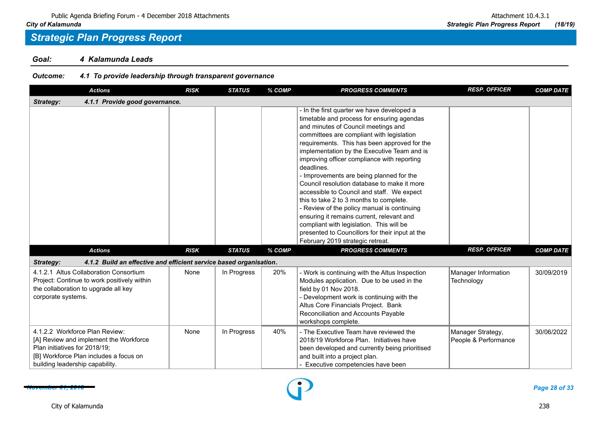*Goal: 4 Kalamunda Leads*

### *Outcome: 4.1 To provide leadership through transparent governance*

| <b>Actions</b>                                                                                                                                                                         | <b>RISK</b> | <b>STATUS</b> | % COMP | <b>PROGRESS COMMENTS</b>                                                                                                                                                                                                                                                                                                                                                                                                                                                                                                                                                                                                                                                                                                                                    | <b>RESP. OFFICER</b>                      | <b>COMP DATE</b> |
|----------------------------------------------------------------------------------------------------------------------------------------------------------------------------------------|-------------|---------------|--------|-------------------------------------------------------------------------------------------------------------------------------------------------------------------------------------------------------------------------------------------------------------------------------------------------------------------------------------------------------------------------------------------------------------------------------------------------------------------------------------------------------------------------------------------------------------------------------------------------------------------------------------------------------------------------------------------------------------------------------------------------------------|-------------------------------------------|------------------|
| 4.1.1 Provide good governance.<br><b>Strategy:</b>                                                                                                                                     |             |               |        |                                                                                                                                                                                                                                                                                                                                                                                                                                                                                                                                                                                                                                                                                                                                                             |                                           |                  |
|                                                                                                                                                                                        |             |               |        | - In the first quarter we have developed a<br>timetable and process for ensuring agendas<br>and minutes of Council meetings and<br>committees are compliant with legislation<br>requirements. This has been approved for the<br>implementation by the Executive Team and is<br>improving officer compliance with reporting<br>deadlines.<br>- Improvements are being planned for the<br>Council resolution database to make it more<br>accessible to Council and staff. We expect<br>this to take 2 to 3 months to complete.<br>- Review of the policy manual is continuing<br>ensuring it remains current, relevant and<br>compliant with legislation. This will be<br>presented to Councillors for their input at the<br>February 2019 strategic retreat. |                                           |                  |
| <b>Actions</b>                                                                                                                                                                         | <b>RISK</b> | <b>STATUS</b> | % COMP | <b>PROGRESS COMMENTS</b>                                                                                                                                                                                                                                                                                                                                                                                                                                                                                                                                                                                                                                                                                                                                    | <b>RESP. OFFICER</b>                      | <b>COMP DATE</b> |
| Strategy:<br>4.1.2 Build an effective and efficient service based organisation.                                                                                                        |             |               |        |                                                                                                                                                                                                                                                                                                                                                                                                                                                                                                                                                                                                                                                                                                                                                             |                                           |                  |
| 4.1.2.1 Altus Collaboration Consortium<br>Project: Continue to work positively within<br>the collaboration to upgrade all key<br>corporate systems.                                    | None        | In Progress   | 20%    | - Work is continuing with the Altus Inspection<br>Modules application. Due to be used in the<br>field by 01 Nov 2018.<br>- Development work is continuing with the<br>Altus Core Financials Project. Bank<br>Reconciliation and Accounts Payable<br>workshops complete.                                                                                                                                                                                                                                                                                                                                                                                                                                                                                     | Manager Information<br>Technology         | 30/09/2019       |
| 4.1.2.2 Workforce Plan Review:<br>[A] Review and implement the Workforce<br>Plan initiatives for 2018/19;<br>[B] Workforce Plan includes a focus on<br>building leadership capability. | None        | In Progress   | 40%    | - The Executive Team have reviewed the<br>2018/19 Workforce Plan. Initiatives have<br>been developed and currently being prioritised<br>and built into a project plan.<br>Executive competencies have been                                                                                                                                                                                                                                                                                                                                                                                                                                                                                                                                                  | Manager Strategy,<br>People & Performance | 30/06/2022       |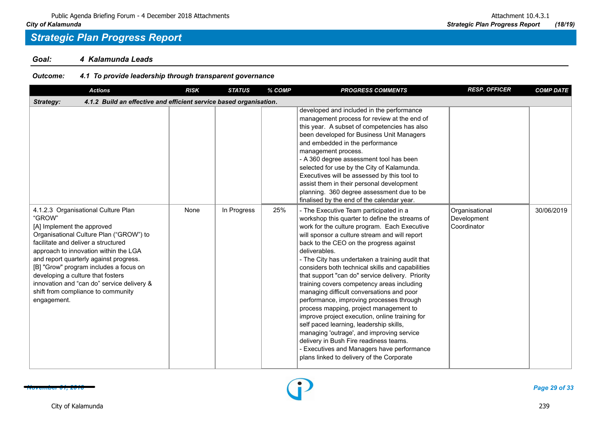*Goal: 4 Kalamunda Leads*

### *Outcome: 4.1 To provide leadership through transparent governance*

| <b>Actions</b>                                                                                                                                                                                                                                                                                                                                                                                                                     | <b>RISK</b> | <b>STATUS</b> | % COMP | <b>PROGRESS COMMENTS</b>                                                                                                                                                                                                                                                                                                                                                                                                                                                                                                                                                                                                                                                                                                                                                                                                                                                         | <b>RESP. OFFICER</b>                         | <b>COMP DATE</b> |  |  |  |  |
|------------------------------------------------------------------------------------------------------------------------------------------------------------------------------------------------------------------------------------------------------------------------------------------------------------------------------------------------------------------------------------------------------------------------------------|-------------|---------------|--------|----------------------------------------------------------------------------------------------------------------------------------------------------------------------------------------------------------------------------------------------------------------------------------------------------------------------------------------------------------------------------------------------------------------------------------------------------------------------------------------------------------------------------------------------------------------------------------------------------------------------------------------------------------------------------------------------------------------------------------------------------------------------------------------------------------------------------------------------------------------------------------|----------------------------------------------|------------------|--|--|--|--|
| 4.1.2 Build an effective and efficient service based organisation.<br>Strategy:                                                                                                                                                                                                                                                                                                                                                    |             |               |        |                                                                                                                                                                                                                                                                                                                                                                                                                                                                                                                                                                                                                                                                                                                                                                                                                                                                                  |                                              |                  |  |  |  |  |
|                                                                                                                                                                                                                                                                                                                                                                                                                                    |             |               |        | developed and included in the performance<br>management process for review at the end of<br>this year. A subset of competencies has also<br>been developed for Business Unit Managers<br>and embedded in the performance<br>management process.<br>- A 360 degree assessment tool has been<br>selected for use by the City of Kalamunda.<br>Executives will be assessed by this tool to<br>assist them in their personal development<br>planning. 360 degree assessment due to be<br>finalised by the end of the calendar year.                                                                                                                                                                                                                                                                                                                                                  |                                              |                  |  |  |  |  |
| 4.1.2.3 Organisational Culture Plan<br>"GROW"<br>[A] Implement the approved<br>Organisational Culture Plan ("GROW") to<br>facilitate and deliver a structured<br>approach to innovation within the LGA<br>and report quarterly against progress.<br>[B] "Grow" program includes a focus on<br>developing a culture that fosters<br>innovation and "can do" service delivery &<br>shift from compliance to community<br>engagement. | None        | In Progress   | 25%    | - The Executive Team participated in a<br>workshop this quarter to define the streams of<br>work for the culture program. Each Executive<br>will sponsor a culture stream and will report<br>back to the CEO on the progress against<br>deliverables.<br>- The City has undertaken a training audit that<br>considers both technical skills and capabilities<br>that support "can do" service delivery. Priority<br>training covers competency areas including<br>managing difficult conversations and poor<br>performance, improving processes through<br>process mapping, project management to<br>improve project execution, online training for<br>self paced learning, leadership skills,<br>managing 'outrage', and improving service<br>delivery in Bush Fire readiness teams.<br>- Executives and Managers have performance<br>plans linked to delivery of the Corporate | Organisational<br>Development<br>Coordinator | 30/06/2019       |  |  |  |  |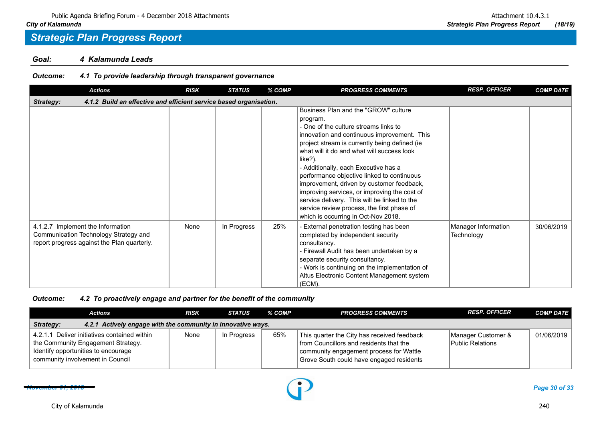*Goal: 4 Kalamunda Leads*

### *Outcome: 4.1 To provide leadership through transparent governance*

| <b>Actions</b>                                                                                                            | <b>RISK</b> | <b>STATUS</b> | % COMP | <b>PROGRESS COMMENTS</b>                                                                                                                                                                                                                                                                                                                                                                                                                                                                                                                                                   | <b>RESP. OFFICER</b>              | <b>COMP DATE</b> |  |  |  |
|---------------------------------------------------------------------------------------------------------------------------|-------------|---------------|--------|----------------------------------------------------------------------------------------------------------------------------------------------------------------------------------------------------------------------------------------------------------------------------------------------------------------------------------------------------------------------------------------------------------------------------------------------------------------------------------------------------------------------------------------------------------------------------|-----------------------------------|------------------|--|--|--|
| 4.1.2 Build an effective and efficient service based organisation.<br>Strategy:                                           |             |               |        |                                                                                                                                                                                                                                                                                                                                                                                                                                                                                                                                                                            |                                   |                  |  |  |  |
|                                                                                                                           |             |               |        | Business Plan and the "GROW" culture<br>program.<br>- One of the culture streams links to<br>innovation and continuous improvement. This<br>project stream is currently being defined (ie<br>what will it do and what will success look<br>like?).<br>- Additionally, each Executive has a<br>performance objective linked to continuous<br>improvement, driven by customer feedback,<br>improving services, or improving the cost of<br>service delivery. This will be linked to the<br>service review process, the first phase of<br>which is occurring in Oct-Nov 2018. |                                   |                  |  |  |  |
| 4.1.2.7 Implement the Information<br>Communication Technology Strategy and<br>report progress against the Plan quarterly. | None        | In Progress   | 25%    | External penetration testing has been<br>completed by independent security<br>consultancy.<br>- Firewall Audit has been undertaken by a<br>separate security consultancy.<br>- Work is continuing on the implementation of<br>Altus Electronic Content Management system<br>(ECM).                                                                                                                                                                                                                                                                                         | Manager Information<br>Technology | 30/06/2019       |  |  |  |

|                                                                                                                                                               | <b>Actions</b>                                               | <b>RISK</b> | <b>STATUS</b> | % COMP | <b>PROGRESS COMMENTS</b>                                                                                                                                                      | <b>RESP. OFFICER</b>                   | <b>COMP DATE</b> |
|---------------------------------------------------------------------------------------------------------------------------------------------------------------|--------------------------------------------------------------|-------------|---------------|--------|-------------------------------------------------------------------------------------------------------------------------------------------------------------------------------|----------------------------------------|------------------|
| <b>Strategy:</b>                                                                                                                                              | 4.2.1 Actively engage with the community in innovative ways. |             |               |        |                                                                                                                                                                               |                                        |                  |
| 4.2.1.1 Deliver initiatives contained within<br>the Community Engagement Strategy.<br>Identify opportunities to encourage<br>community involvement in Council |                                                              | None        | In Progress   | 65%    | This quarter the City has received feedback<br>from Councillors and residents that the<br>community engagement process for Wattle<br>Grove South could have engaged residents | Manager Customer &<br>Public Relations | 01/06/2019       |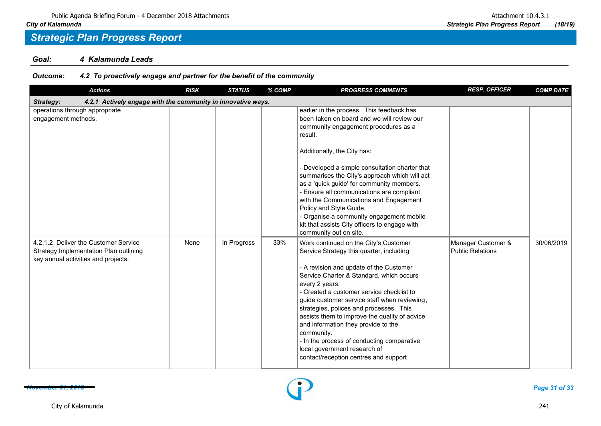*Goal: 4 Kalamunda Leads*

| <b>Actions</b>                                                                                                        | <b>RISK</b> | <b>STATUS</b> | % COMP | <b>PROGRESS COMMENTS</b>                                                                                                                                                                                                                                                                                                                                                                                                                                                                                                                                           | <b>RESP. OFFICER</b>                          | <b>COMP DATE</b> |  |  |  |
|-----------------------------------------------------------------------------------------------------------------------|-------------|---------------|--------|--------------------------------------------------------------------------------------------------------------------------------------------------------------------------------------------------------------------------------------------------------------------------------------------------------------------------------------------------------------------------------------------------------------------------------------------------------------------------------------------------------------------------------------------------------------------|-----------------------------------------------|------------------|--|--|--|
| 4.2.1 Actively engage with the community in innovative ways.<br>Strategy:                                             |             |               |        |                                                                                                                                                                                                                                                                                                                                                                                                                                                                                                                                                                    |                                               |                  |  |  |  |
| operations through appropriate<br>engagement methods.                                                                 |             |               |        | earlier in the process. This feedback has<br>been taken on board and we will review our<br>community engagement procedures as a<br>result.<br>Additionally, the City has:<br>- Developed a simple consultation charter that<br>summarises the City's approach which will act<br>as a 'quick guide' for community members.<br>- Ensure all communications are compliant<br>with the Communications and Engagement<br>Policy and Style Guide.<br>- Organise a community engagement mobile<br>kit that assists City officers to engage with<br>community out on site. |                                               |                  |  |  |  |
| 4.2.1.2 Deliver the Customer Service<br>Strategy Implementation Plan outlining<br>key annual activities and projects. | None        | In Progress   | 33%    | Work continued on the City's Customer<br>Service Strategy this quarter, including:<br>- A revision and update of the Customer<br>Service Charter & Standard, which occurs<br>every 2 years.<br>- Created a customer service checklist to<br>guide customer service staff when reviewing,<br>strategies, polices and processes. This<br>assists them to improve the quality of advice<br>and information they provide to the<br>community.<br>- In the process of conducting comparative<br>local government research of<br>contact/reception centres and support   | Manager Customer &<br><b>Public Relations</b> | 30/06/2019       |  |  |  |

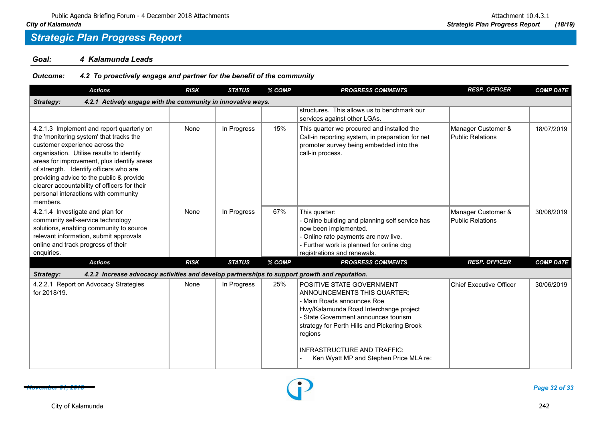*Goal: 4 Kalamunda Leads*

| <b>Actions</b>                                                                                                                                                                                                                                                                                                                                                                                              | <b>RISK</b> | <b>STATUS</b> | % COMP | <b>PROGRESS COMMENTS</b>                                                                                                                                                                                                                                                                                            | <b>RESP. OFFICER</b>                          | <b>COMP DATE</b> |
|-------------------------------------------------------------------------------------------------------------------------------------------------------------------------------------------------------------------------------------------------------------------------------------------------------------------------------------------------------------------------------------------------------------|-------------|---------------|--------|---------------------------------------------------------------------------------------------------------------------------------------------------------------------------------------------------------------------------------------------------------------------------------------------------------------------|-----------------------------------------------|------------------|
| 4.2.1 Actively engage with the community in innovative ways.<br>Strategy:                                                                                                                                                                                                                                                                                                                                   |             |               |        |                                                                                                                                                                                                                                                                                                                     |                                               |                  |
|                                                                                                                                                                                                                                                                                                                                                                                                             |             |               |        | structures. This allows us to benchmark our<br>services against other LGAs.                                                                                                                                                                                                                                         |                                               |                  |
| 4.2.1.3 Implement and report quarterly on<br>the 'monitoring system' that tracks the<br>customer experience across the<br>organisation. Utilise results to identify<br>areas for improvement, plus identify areas<br>of strength. Identify officers who are<br>providing advice to the public & provide<br>clearer accountability of officers for their<br>personal interactions with community<br>members. | None        | In Progress   | 15%    | This quarter we procured and installed the<br>Call-in reporting system, in preparation for net<br>promoter survey being embedded into the<br>call-in process.                                                                                                                                                       | Manager Customer &<br>Public Relations        | 18/07/2019       |
| 4.2.1.4 Investigate and plan for<br>community self-service technology<br>solutions, enabling community to source<br>relevant information, submit approvals<br>online and track progress of their<br>enquiries.                                                                                                                                                                                              | None        | In Progress   | 67%    | This quarter:<br>- Online building and planning self service has<br>now been implemented.<br>- Online rate payments are now live.<br>- Further work is planned for online dog<br>registrations and renewals.                                                                                                        | Manager Customer &<br><b>Public Relations</b> | 30/06/2019       |
| <b>Actions</b>                                                                                                                                                                                                                                                                                                                                                                                              | <b>RISK</b> | <b>STATUS</b> | % COMP | <b>PROGRESS COMMENTS</b>                                                                                                                                                                                                                                                                                            | <b>RESP. OFFICER</b>                          | <b>COMP DATE</b> |
| Strategy:<br>4.2.2 Increase advocacy activities and develop partnerships to support growth and reputation.                                                                                                                                                                                                                                                                                                  |             |               |        |                                                                                                                                                                                                                                                                                                                     |                                               |                  |
| 4.2.2.1 Report on Advocacy Strategies<br>for 2018/19.                                                                                                                                                                                                                                                                                                                                                       | None        | In Progress   | 25%    | POSITIVE STATE GOVERNMENT<br>ANNOUNCEMENTS THIS QUARTER:<br>- Main Roads announces Roe<br>Hwy/Kalamunda Road Interchange project<br>- State Government announces tourism<br>strategy for Perth Hills and Pickering Brook<br>regions<br><b>INFRASTRUCTURE AND TRAFFIC:</b><br>Ken Wyatt MP and Stephen Price MLA re: | <b>Chief Executive Officer</b>                | 30/06/2019       |